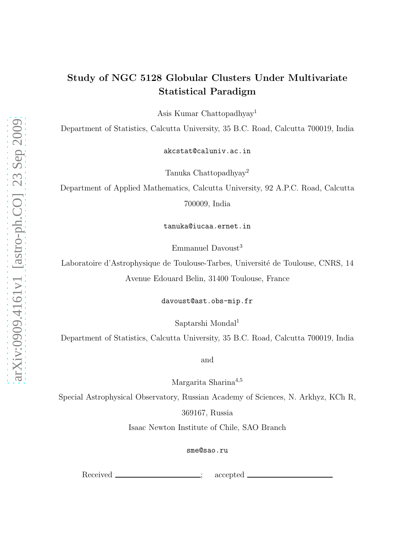## Study of NGC 5128 Globular Clusters Under Multivariate Statistical Paradigm

Asis Kumar Chattopadhyay<sup>1</sup>

Department of Statistics, Calcutta University, 35 B.C. Road, Calcutta 700019, India

akcstat@caluniv.ac.in

Tanuka Chattopadhyay<sup>2</sup>

Department of Applied Mathematics, Calcutta University, 92 A.P.C. Road, Calcutta 700009, India

tanuka@iucaa.ernet.in

Emmanuel Davoust<sup>3</sup>

Laboratoire d'Astrophysique de Toulouse-Tarbes, Université de Toulouse, CNRS, 14 Avenue Edouard Belin, 31400 Toulouse, France

davoust@ast.obs-mip.fr

Saptarshi Mondal<sup>1</sup>

Department of Statistics, Calcutta University, 35 B.C. Road, Calcutta 700019, India

and

Margarita Sharina<sup>4</sup>,<sup>5</sup>

Special Astrophysical Observatory, Russian Academy of Sciences, N. Arkhyz, KCh R,

369167, Russia

Isaac Newton Institute of Chile, SAO Branch

sme@sao.ru

Received \_\_\_\_\_\_\_\_\_\_\_\_\_\_\_\_\_\_\_; accepted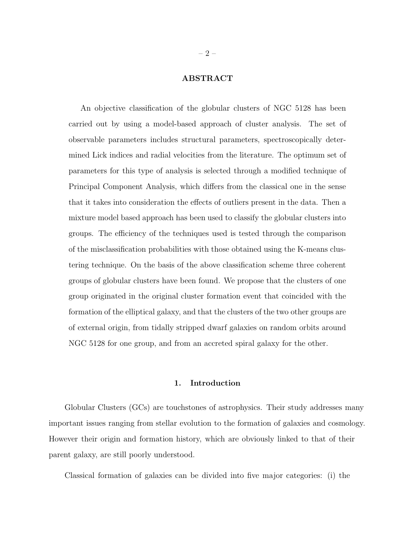## ABSTRACT

An objective classification of the globular clusters of NGC 5128 has been carried out by using a model-based approach of cluster analysis. The set of observable parameters includes structural parameters, spectroscopically determined Lick indices and radial velocities from the literature. The optimum set of parameters for this type of analysis is selected through a modified technique of Principal Component Analysis, which differs from the classical one in the sense that it takes into consideration the effects of outliers present in the data. Then a mixture model based approach has been used to classify the globular clusters into groups. The efficiency of the techniques used is tested through the comparison of the misclassification probabilities with those obtained using the K-means clustering technique. On the basis of the above classification scheme three coherent groups of globular clusters have been found. We propose that the clusters of one group originated in the original cluster formation event that coincided with the formation of the elliptical galaxy, and that the clusters of the two other groups are of external origin, from tidally stripped dwarf galaxies on random orbits around NGC 5128 for one group, and from an accreted spiral galaxy for the other.

## 1. Introduction

Globular Clusters (GCs) are touchstones of astrophysics. Their study addresses many important issues ranging from stellar evolution to the formation of galaxies and cosmology. However their origin and formation history, which are obviously linked to that of their parent galaxy, are still poorly understood.

Classical formation of galaxies can be divided into five major categories: (i) the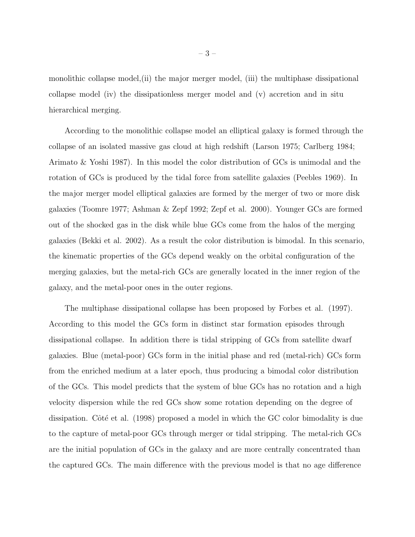monolithic collapse model,(ii) the major merger model, (iii) the multiphase dissipational collapse model (iv) the dissipationless merger model and (v) accretion and in situ hierarchical merging.

According to the monolithic collapse model an elliptical galaxy is formed through the collapse of an isolated massive gas cloud at high redshift (Larson 1975; Carlberg 1984; Arimato & Yoshi 1987). In this model the color distribution of GCs is unimodal and the rotation of GCs is produced by the tidal force from satellite galaxies (Peebles 1969). In the major merger model elliptical galaxies are formed by the merger of two or more disk galaxies (Toomre 1977; Ashman & Zepf 1992; Zepf et al. 2000). Younger GCs are formed out of the shocked gas in the disk while blue GCs come from the halos of the merging galaxies (Bekki et al. 2002). As a result the color distribution is bimodal. In this scenario, the kinematic properties of the GCs depend weakly on the orbital configuration of the merging galaxies, but the metal-rich GCs are generally located in the inner region of the galaxy, and the metal-poor ones in the outer regions.

The multiphase dissipational collapse has been proposed by Forbes et al. (1997). According to this model the GCs form in distinct star formation episodes through dissipational collapse. In addition there is tidal stripping of GCs from satellite dwarf galaxies. Blue (metal-poor) GCs form in the initial phase and red (metal-rich) GCs form from the enriched medium at a later epoch, thus producing a bimodal color distribution of the GCs. This model predicts that the system of blue GCs has no rotation and a high velocity dispersion while the red GCs show some rotation depending on the degree of dissipation. Côté et al. (1998) proposed a model in which the GC color bimodality is due to the capture of metal-poor GCs through merger or tidal stripping. The metal-rich GCs are the initial population of GCs in the galaxy and are more centrally concentrated than the captured GCs. The main difference with the previous model is that no age difference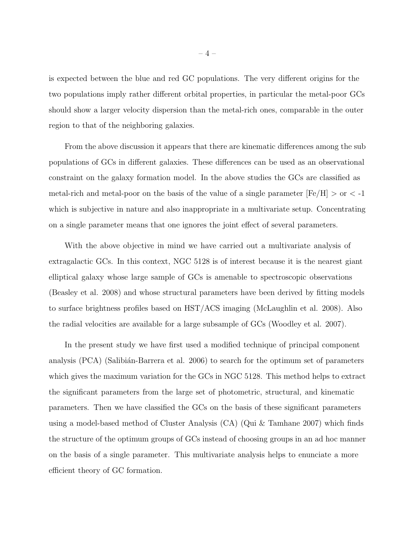is expected between the blue and red GC populations. The very different origins for the two populations imply rather different orbital properties, in particular the metal-poor GCs should show a larger velocity dispersion than the metal-rich ones, comparable in the outer region to that of the neighboring galaxies.

From the above discussion it appears that there are kinematic differences among the sub populations of GCs in different galaxies. These differences can be used as an observational constraint on the galaxy formation model. In the above studies the GCs are classified as metal-rich and metal-poor on the basis of the value of a single parameter  $[Fe/H] >$  or  $<$  -1 which is subjective in nature and also inappropriate in a multivariate setup. Concentrating on a single parameter means that one ignores the joint effect of several parameters.

With the above objective in mind we have carried out a multivariate analysis of extragalactic GCs. In this context, NGC 5128 is of interest because it is the nearest giant elliptical galaxy whose large sample of GCs is amenable to spectroscopic observations (Beasley et al. 2008) and whose structural parameters have been derived by fitting models to surface brightness profiles based on HST/ACS imaging (McLaughlin et al. 2008). Also the radial velocities are available for a large subsample of GCs (Woodley et al. 2007).

In the present study we have first used a modified technique of principal component analysis (PCA) (Salibián-Barrera et al. 2006) to search for the optimum set of parameters which gives the maximum variation for the GCs in NGC 5128. This method helps to extract the significant parameters from the large set of photometric, structural, and kinematic parameters. Then we have classified the GCs on the basis of these significant parameters using a model-based method of Cluster Analysis (CA) (Qui & Tamhane 2007) which finds the structure of the optimum groups of GCs instead of choosing groups in an ad hoc manner on the basis of a single parameter. This multivariate analysis helps to enunciate a more efficient theory of GC formation.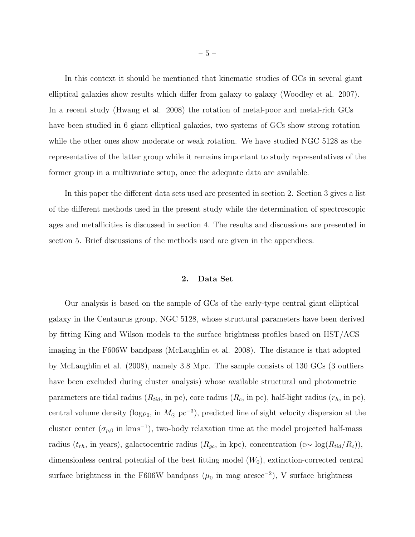In this context it should be mentioned that kinematic studies of GCs in several giant elliptical galaxies show results which differ from galaxy to galaxy (Woodley et al. 2007). In a recent study (Hwang et al. 2008) the rotation of metal-poor and metal-rich GCs have been studied in 6 giant elliptical galaxies, two systems of GCs show strong rotation while the other ones show moderate or weak rotation. We have studied NGC 5128 as the representative of the latter group while it remains important to study representatives of the former group in a multivariate setup, once the adequate data are available.

In this paper the different data sets used are presented in section 2. Section 3 gives a list of the different methods used in the present study while the determination of spectroscopic ages and metallicities is discussed in section 4. The results and discussions are presented in section 5. Brief discussions of the methods used are given in the appendices.

## 2. Data Set

Our analysis is based on the sample of GCs of the early-type central giant elliptical galaxy in the Centaurus group, NGC 5128, whose structural parameters have been derived by fitting King and Wilson models to the surface brightness profiles based on HST/ACS imaging in the F606W bandpass (McLaughlin et al. 2008). The distance is that adopted by McLaughlin et al. (2008), namely 3.8 Mpc. The sample consists of 130 GCs (3 outliers have been excluded during cluster analysis) whose available structural and photometric parameters are tidal radius  $(R_{tid},$  in pc), core radius  $(R_c,$  in pc), half-light radius  $(r_h,$  in pc), central volume density ( $log\rho_0$ , in  $M_{\odot}$  pc<sup>-3</sup>), predicted line of sight velocity dispersion at the cluster center ( $\sigma_{p,0}$  in kms<sup>-1</sup>), two-body relaxation time at the model projected half-mass radius ( $t_{rh}$ , in years), galactocentric radius ( $R_{gc}$ , in kpc), concentration (c $\sim \log(R_{tid}/R_c)$ ), dimensionless central potential of the best fitting model  $(W_0)$ , extinction-corrected central surface brightness in the F606W bandpass  $(\mu_0$  in mag arcsec<sup>-2</sup>), V surface brightness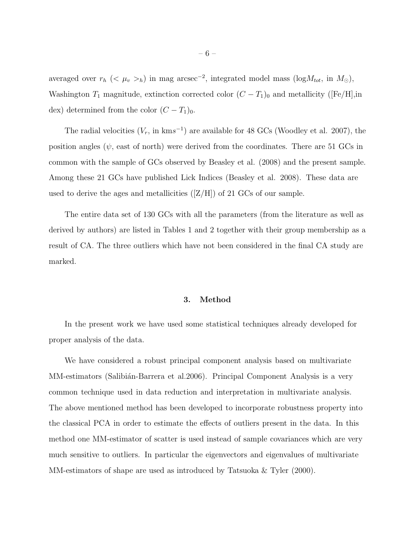averaged over  $r_h$  (<  $\mu_v >_h$ ) in mag arcsec<sup>-2</sup>, integrated model mass (log $M_{tot}$ , in  $M_{\odot}$ ), Washington  $T_1$  magnitude, extinction corrected color  $(C - T_1)_0$  and metallicity ([Fe/H],in dex) determined from the color  $(C - T_1)_0$ .

The radial velocities  $(V_r, \text{ in } \text{km} s^{-1})$  are available for 48 GCs (Woodley et al. 2007), the position angles ( $\psi$ , east of north) were derived from the coordinates. There are 51 GCs in common with the sample of GCs observed by Beasley et al. (2008) and the present sample. Among these 21 GCs have published Lick Indices (Beasley et al. 2008). These data are used to derive the ages and metallicities  $(|Z/H|)$  of 21 GCs of our sample.

The entire data set of 130 GCs with all the parameters (from the literature as well as derived by authors) are listed in Tables 1 and 2 together with their group membership as a result of CA. The three outliers which have not been considered in the final CA study are marked.

## 3. Method

In the present work we have used some statistical techniques already developed for proper analysis of the data.

We have considered a robust principal component analysis based on multivariate MM-estimators (Salibián-Barrera et al. 2006). Principal Component Analysis is a very common technique used in data reduction and interpretation in multivariate analysis. The above mentioned method has been developed to incorporate robustness property into the classical PCA in order to estimate the effects of outliers present in the data. In this method one MM-estimator of scatter is used instead of sample covariances which are very much sensitive to outliers. In particular the eigenvectors and eigenvalues of multivariate MM-estimators of shape are used as introduced by Tatsuoka & Tyler (2000).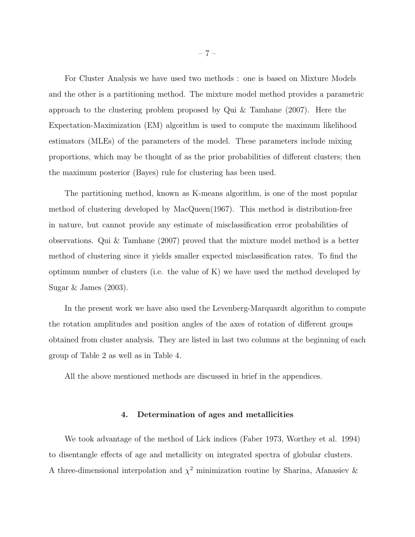For Cluster Analysis we have used two methods : one is based on Mixture Models and the other is a partitioning method. The mixture model method provides a parametric approach to the clustering problem proposed by Qui & Tamhane (2007). Here the Expectation-Maximization (EM) algorithm is used to compute the maximum likelihood estimators (MLEs) of the parameters of the model. These parameters include mixing proportions, which may be thought of as the prior probabilities of different clusters; then the maximum posterior (Bayes) rule for clustering has been used.

The partitioning method, known as K-means algorithm, is one of the most popular method of clustering developed by MacQueen(1967). This method is distribution-free in nature, but cannot provide any estimate of misclassification error probabilities of observations. Qui & Tamhane (2007) proved that the mixture model method is a better method of clustering since it yields smaller expected misclassification rates. To find the optimum number of clusters (i.e. the value of K) we have used the method developed by Sugar & James (2003).

In the present work we have also used the Levenberg-Marquardt algorithm to compute the rotation amplitudes and position angles of the axes of rotation of different groups obtained from cluster analysis. They are listed in last two columns at the beginning of each group of Table 2 as well as in Table 4.

All the above mentioned methods are discussed in brief in the appendices.

## 4. Determination of ages and metallicities

We took advantage of the method of Lick indices (Faber 1973, Worthey et al. 1994) to disentangle effects of age and metallicity on integrated spectra of globular clusters. A three-dimensional interpolation and  $\chi^2$  minimization routine by Sharina, Afanasiev &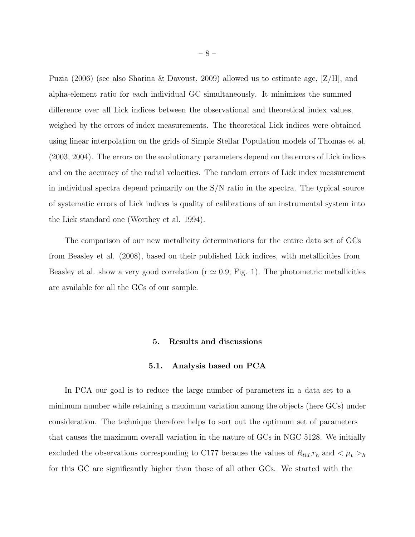Puzia (2006) (see also Sharina & Davoust, 2009) allowed us to estimate age, [Z/H], and alpha-element ratio for each individual GC simultaneously. It minimizes the summed difference over all Lick indices between the observational and theoretical index values, weighed by the errors of index measurements. The theoretical Lick indices were obtained using linear interpolation on the grids of Simple Stellar Population models of Thomas et al. (2003, 2004). The errors on the evolutionary parameters depend on the errors of Lick indices and on the accuracy of the radial velocities. The random errors of Lick index measurement in individual spectra depend primarily on the S/N ratio in the spectra. The typical source of systematic errors of Lick indices is quality of calibrations of an instrumental system into the Lick standard one (Worthey et al. 1994).

The comparison of our new metallicity determinations for the entire data set of GCs from Beasley et al. (2008), based on their published Lick indices, with metallicities from Beasley et al. show a very good correlation ( $r \approx 0.9$ ; Fig. 1). The photometric metallicities are available for all the GCs of our sample.

### 5. Results and discussions

#### 5.1. Analysis based on PCA

In PCA our goal is to reduce the large number of parameters in a data set to a minimum number while retaining a maximum variation among the objects (here GCs) under consideration. The technique therefore helps to sort out the optimum set of parameters that causes the maximum overall variation in the nature of GCs in NGC 5128. We initially excluded the observations corresponding to C177 because the values of  $R_{tid},r_h$  and  $\lt \mu_v >_h$ for this GC are significantly higher than those of all other GCs. We started with the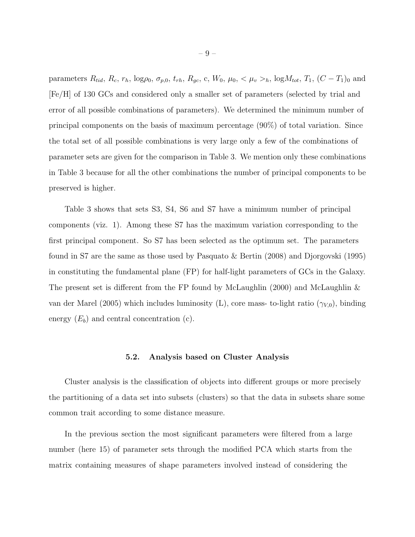parameters  $R_{tid}$ ,  $R_c$ ,  $r_h$ ,  $\log \rho_0$ ,  $\sigma_{p,0}$ ,  $t_{rh}$ ,  $R_{gc}$ , c,  $W_0$ ,  $\mu_0$ ,  $\lt \mu_v >_h$ ,  $\log M_{tot}$ ,  $T_1$ ,  $(C - T_1)_0$  and [Fe/H] of 130 GCs and considered only a smaller set of parameters (selected by trial and error of all possible combinations of parameters). We determined the minimum number of principal components on the basis of maximum percentage (90%) of total variation. Since the total set of all possible combinations is very large only a few of the combinations of parameter sets are given for the comparison in Table 3. We mention only these combinations in Table 3 because for all the other combinations the number of principal components to be preserved is higher.

Table 3 shows that sets S3, S4, S6 and S7 have a minimum number of principal components (viz. 1). Among these S7 has the maximum variation corresponding to the first principal component. So S7 has been selected as the optimum set. The parameters found in S7 are the same as those used by Pasquato & Bertin (2008) and Djorgovski (1995) in constituting the fundamental plane (FP) for half-light parameters of GCs in the Galaxy. The present set is different from the FP found by McLaughlin (2000) and McLaughlin & van der Marel (2005) which includes luminosity (L), core mass- to-light ratio  $(\gamma_{V,0})$ , binding energy  $(E_b)$  and central concentration (c).

#### 5.2. Analysis based on Cluster Analysis

Cluster analysis is the classification of objects into different groups or more precisely the partitioning of a data set into subsets (clusters) so that the data in subsets share some common trait according to some distance measure.

In the previous section the most significant parameters were filtered from a large number (here 15) of parameter sets through the modified PCA which starts from the matrix containing measures of shape parameters involved instead of considering the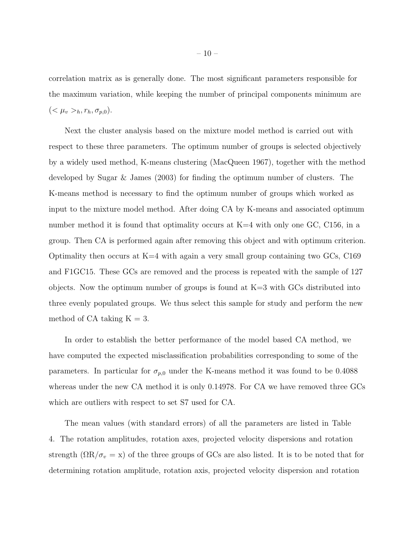correlation matrix as is generally done. The most significant parameters responsible for the maximum variation, while keeping the number of principal components minimum are  $( $\mu_v >_h, r_h, \sigma_{p,0}).$$ 

Next the cluster analysis based on the mixture model method is carried out with respect to these three parameters. The optimum number of groups is selected objectively by a widely used method, K-means clustering (MacQueen 1967), together with the method developed by Sugar & James (2003) for finding the optimum number of clusters. The K-means method is necessary to find the optimum number of groups which worked as input to the mixture model method. After doing CA by K-means and associated optimum number method it is found that optimality occurs at  $K=4$  with only one GC, C156, in a group. Then CA is performed again after removing this object and with optimum criterion. Optimality then occurs at  $K=4$  with again a very small group containing two GCs, C169 and F1GC15. These GCs are removed and the process is repeated with the sample of 127 objects. Now the optimum number of groups is found at  $K=3$  with GCs distributed into three evenly populated groups. We thus select this sample for study and perform the new method of CA taking  $K = 3$ .

In order to establish the better performance of the model based CA method, we have computed the expected misclassification probabilities corresponding to some of the parameters. In particular for  $\sigma_{p,0}$  under the K-means method it was found to be 0.4088 whereas under the new CA method it is only 0.14978. For CA we have removed three GCs which are outliers with respect to set S7 used for CA.

The mean values (with standard errors) of all the parameters are listed in Table 4. The rotation amplitudes, rotation axes, projected velocity dispersions and rotation strength ( $\Omega R/\sigma_v = x$ ) of the three groups of GCs are also listed. It is to be noted that for determining rotation amplitude, rotation axis, projected velocity dispersion and rotation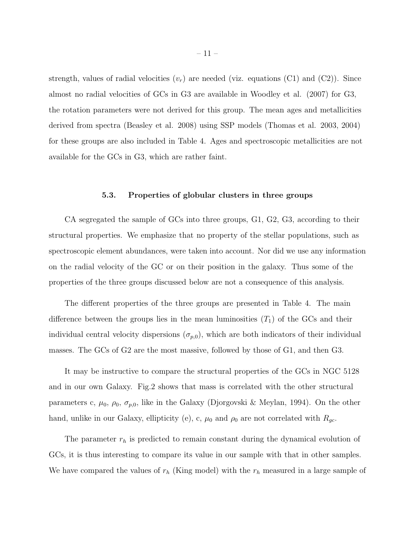strength, values of radial velocities  $(v_r)$  are needed (viz. equations (C1) and (C2)). Since almost no radial velocities of GCs in G3 are available in Woodley et al. (2007) for G3, the rotation parameters were not derived for this group. The mean ages and metallicities derived from spectra (Beasley et al. 2008) using SSP models (Thomas et al. 2003, 2004) for these groups are also included in Table 4. Ages and spectroscopic metallicities are not available for the GCs in G3, which are rather faint.

## 5.3. Properties of globular clusters in three groups

CA segregated the sample of GCs into three groups, G1, G2, G3, according to their structural properties. We emphasize that no property of the stellar populations, such as spectroscopic element abundances, were taken into account. Nor did we use any information on the radial velocity of the GC or on their position in the galaxy. Thus some of the properties of the three groups discussed below are not a consequence of this analysis.

The different properties of the three groups are presented in Table 4. The main difference between the groups lies in the mean luminosities  $(T_1)$  of the GCs and their individual central velocity dispersions  $(\sigma_{p,0})$ , which are both indicators of their individual masses. The GCs of G2 are the most massive, followed by those of G1, and then G3.

It may be instructive to compare the structural properties of the GCs in NGC 5128 and in our own Galaxy. Fig.2 shows that mass is correlated with the other structural parameters c,  $\mu_0$ ,  $\rho_0$ ,  $\sigma_{p,0}$ , like in the Galaxy (Djorgovski & Meylan, 1994). On the other hand, unlike in our Galaxy, ellipticity (e), c,  $\mu_0$  and  $\rho_0$  are not correlated with  $R_{gc}$ .

The parameter  $r_h$  is predicted to remain constant during the dynamical evolution of GCs, it is thus interesting to compare its value in our sample with that in other samples. We have compared the values of  $r_h$  (King model) with the  $r_h$  measured in a large sample of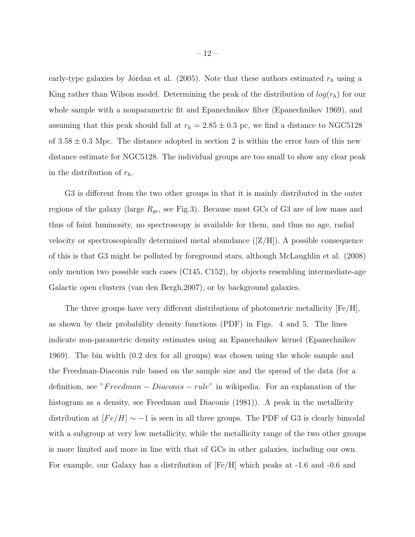early-type galaxies by Jórdan et al. (2005). Note that these authors estimated  $r_h$  using a King rather than Wilson model. Determining the peak of the distribution of  $log(r_h)$  for our whole sample with a nonparametric fit and Epanechnikov filter (Epanechnikov 1969), and assuming that this peak should fall at  $r_h = 2.85 \pm 0.3$  pc, we find a distance to NGC5128 of  $3.58 \pm 0.3$  Mpc. The distance adopted in section 2 is within the error bars of this new distance estimate for NGC5128. The individual groups are too small to show any clear peak in the distribution of  $r_h$ .

G3 is different from the two other groups in that it is mainly distributed in the outer regions of the galaxy (large  $R_{gc}$ , see Fig.3). Because most GCs of G3 are of low mass and thus of faint luminosity, no spectroscopy is available for them, and thus no age, radial velocity or spectroscopically determined metal abundance  $([Z/H])$ . A possible consequence of this is that G3 might be polluted by foreground stars, although McLaughlin et al. (2008) only mention two possible such cases (C145, C152), by objects resembling intermediate-age Galactic open clusters (van den Bergh,2007), or by background galaxies.

The three groups have very different distributions of photometric metallicity [Fe/H], as shown by their probability density functions (PDF) in Figs. 4 and 5. The lines indicate non-parametric density estimates using an Epanechnikov kernel (Epanechnikov 1969). The bin width (0.2 dex for all groups) was chosen using the whole sample and the Freedman-Diaconis rule based on the sample size and the spread of the data (for a definition, see " $Freedman - Diaconis - rule$ " in wikipedia. For an explanation of the histogram as a density, see Freedman and Diaconis (1981)). A peak in the metallicity distribution at  $[Fe/H] \sim -1$  is seen in all three groups. The PDF of G3 is clearly bimodal with a subgroup at very low metallicity, while the metallicity range of the two other groups is more limited and more in line with that of GCs in other galaxies, including our own. For example, our Galaxy has a distribution of [Fe/H] which peaks at -1.6 and -0.6 and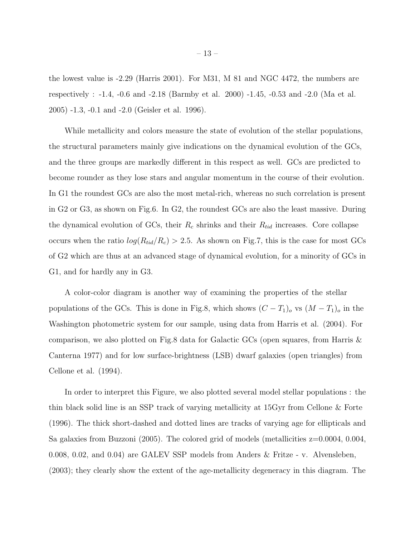the lowest value is -2.29 (Harris 2001). For M31, M 81 and NGC 4472, the numbers are respectively : -1.4, -0.6 and -2.18 (Barmby et al. 2000) -1.45, -0.53 and -2.0 (Ma et al. 2005) -1.3, -0.1 and -2.0 (Geisler et al. 1996).

While metallicity and colors measure the state of evolution of the stellar populations, the structural parameters mainly give indications on the dynamical evolution of the GCs, and the three groups are markedly different in this respect as well. GCs are predicted to become rounder as they lose stars and angular momentum in the course of their evolution. In G1 the roundest GCs are also the most metal-rich, whereas no such correlation is present in G2 or G3, as shown on Fig.6. In G2, the roundest GCs are also the least massive. During the dynamical evolution of GCs, their  $R_c$  shrinks and their  $R_{tid}$  increases. Core collapse occurs when the ratio  $log(R_{tid}/R_c) > 2.5$ . As shown on Fig.7, this is the case for most GCs of G2 which are thus at an advanced stage of dynamical evolution, for a minority of GCs in G1, and for hardly any in G3.

A color-color diagram is another way of examining the properties of the stellar populations of the GCs. This is done in Fig.8, which shows  $(C - T_1)_o$  vs  $(M - T_1)_o$  in the Washington photometric system for our sample, using data from Harris et al. (2004). For comparison, we also plotted on Fig.8 data for Galactic GCs (open squares, from Harris & Canterna 1977) and for low surface-brightness (LSB) dwarf galaxies (open triangles) from Cellone et al. (1994).

In order to interpret this Figure, we also plotted several model stellar populations : the thin black solid line is an SSP track of varying metallicity at 15Gyr from Cellone & Forte (1996). The thick short-dashed and dotted lines are tracks of varying age for ellipticals and Sa galaxies from Buzzoni (2005). The colored grid of models (metallicities  $z=0.0004$ , 0.004, 0.008, 0.02, and 0.04) are GALEV SSP models from Anders & Fritze - v. Alvensleben, (2003); they clearly show the extent of the age-metallicity degeneracy in this diagram. The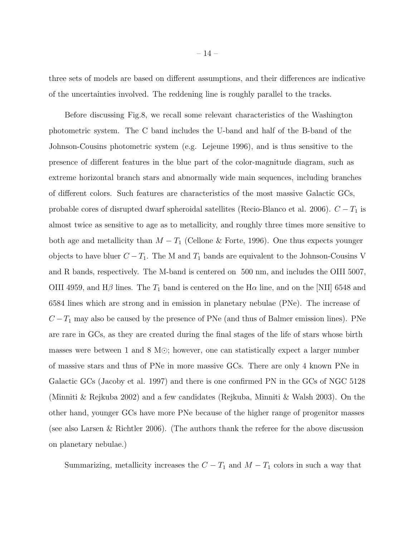three sets of models are based on different assumptions, and their differences are indicative of the uncertainties involved. The reddening line is roughly parallel to the tracks.

Before discussing Fig.8, we recall some relevant characteristics of the Washington photometric system. The C band includes the U-band and half of the B-band of the Johnson-Cousins photometric system (e.g. Lejeune 1996), and is thus sensitive to the presence of different features in the blue part of the color-magnitude diagram, such as extreme horizontal branch stars and abnormally wide main sequences, including branches of different colors. Such features are characteristics of the most massive Galactic GCs, probable cores of disrupted dwarf spheroidal satellites (Recio-Blanco et al. 2006).  $C - T_1$  is almost twice as sensitive to age as to metallicity, and roughly three times more sensitive to both age and metallicity than  $M - T_1$  (Cellone & Forte, 1996). One thus expects younger objects to have bluer  $C - T_1$ . The M and  $T_1$  bands are equivalent to the Johnson-Cousins V and R bands, respectively. The M-band is centered on 500 nm, and includes the OIII 5007, OIII 4959, and  $H\beta$  lines. The  $T_1$  band is centered on the H $\alpha$  line, and on the [NII] 6548 and 6584 lines which are strong and in emission in planetary nebulae (PNe). The increase of  $C-T_1$  may also be caused by the presence of PNe (and thus of Balmer emission lines). PNe are rare in GCs, as they are created during the final stages of the life of stars whose birth masses were between 1 and 8 M⊙; however, one can statistically expect a larger number of massive stars and thus of PNe in more massive GCs. There are only 4 known PNe in Galactic GCs (Jacoby et al. 1997) and there is one confirmed PN in the GCs of NGC 5128 (Minniti & Rejkuba 2002) and a few candidates (Rejkuba, Minniti & Walsh 2003). On the other hand, younger GCs have more PNe because of the higher range of progenitor masses (see also Larsen & Richtler 2006). (The authors thank the referee for the above discussion on planetary nebulae.)

Summarizing, metallicity increases the  $C - T_1$  and  $M - T_1$  colors in such a way that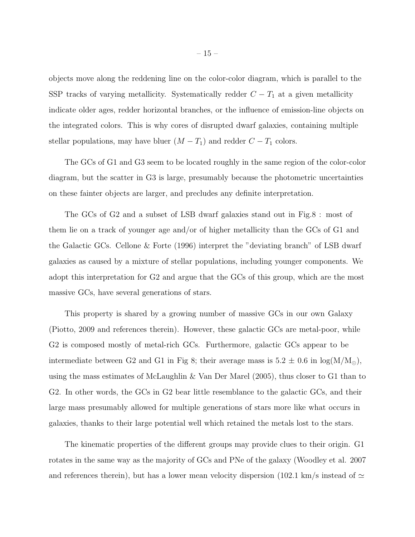objects move along the reddening line on the color-color diagram, which is parallel to the SSP tracks of varying metallicity. Systematically redder  $C - T_1$  at a given metallicity indicate older ages, redder horizontal branches, or the influence of emission-line objects on the integrated colors. This is why cores of disrupted dwarf galaxies, containing multiple stellar populations, may have bluer  $(M - T_1)$  and redder  $C - T_1$  colors.

The GCs of G1 and G3 seem to be located roughly in the same region of the color-color diagram, but the scatter in G3 is large, presumably because the photometric uncertainties on these fainter objects are larger, and precludes any definite interpretation.

The GCs of G2 and a subset of LSB dwarf galaxies stand out in Fig.8 : most of them lie on a track of younger age and/or of higher metallicity than the GCs of G1 and the Galactic GCs. Cellone & Forte (1996) interpret the "deviating branch" of LSB dwarf galaxies as caused by a mixture of stellar populations, including younger components. We adopt this interpretation for G2 and argue that the GCs of this group, which are the most massive GCs, have several generations of stars.

This property is shared by a growing number of massive GCs in our own Galaxy (Piotto, 2009 and references therein). However, these galactic GCs are metal-poor, while G2 is composed mostly of metal-rich GCs. Furthermore, galactic GCs appear to be intermediate between G2 and G1 in Fig 8; their average mass is  $5.2 \pm 0.6$  in  $log(M/M_{\odot})$ , using the mass estimates of McLaughlin & Van Der Marel (2005), thus closer to G1 than to G2. In other words, the GCs in G2 bear little resemblance to the galactic GCs, and their large mass presumably allowed for multiple generations of stars more like what occurs in galaxies, thanks to their large potential well which retained the metals lost to the stars.

The kinematic properties of the different groups may provide clues to their origin. G1 rotates in the same way as the majority of GCs and PNe of the galaxy (Woodley et al. 2007 and references therein), but has a lower mean velocity dispersion (102.1 km/s instead of  $\simeq$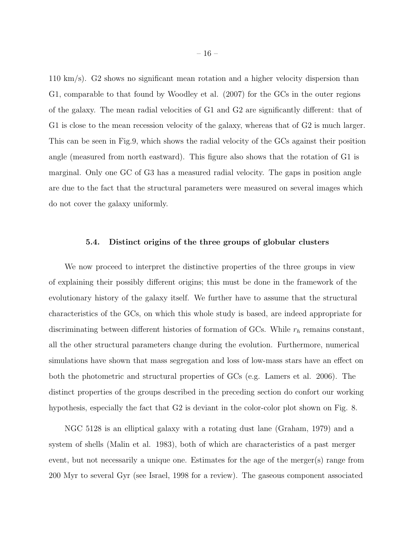110 km/s). G2 shows no significant mean rotation and a higher velocity dispersion than G1, comparable to that found by Woodley et al. (2007) for the GCs in the outer regions of the galaxy. The mean radial velocities of G1 and G2 are significantly different: that of G1 is close to the mean recession velocity of the galaxy, whereas that of G2 is much larger. This can be seen in Fig.9, which shows the radial velocity of the GCs against their position angle (measured from north eastward). This figure also shows that the rotation of G1 is marginal. Only one GC of G3 has a measured radial velocity. The gaps in position angle are due to the fact that the structural parameters were measured on several images which do not cover the galaxy uniformly.

## 5.4. Distinct origins of the three groups of globular clusters

We now proceed to interpret the distinctive properties of the three groups in view of explaining their possibly different origins; this must be done in the framework of the evolutionary history of the galaxy itself. We further have to assume that the structural characteristics of the GCs, on which this whole study is based, are indeed appropriate for discriminating between different histories of formation of GCs. While  $r<sub>h</sub>$  remains constant, all the other structural parameters change during the evolution. Furthermore, numerical simulations have shown that mass segregation and loss of low-mass stars have an effect on both the photometric and structural properties of GCs (e.g. Lamers et al. 2006). The distinct properties of the groups described in the preceding section do confort our working hypothesis, especially the fact that G2 is deviant in the color-color plot shown on Fig. 8.

NGC 5128 is an elliptical galaxy with a rotating dust lane (Graham, 1979) and a system of shells (Malin et al. 1983), both of which are characteristics of a past merger event, but not necessarily a unique one. Estimates for the age of the merger(s) range from 200 Myr to several Gyr (see Israel, 1998 for a review). The gaseous component associated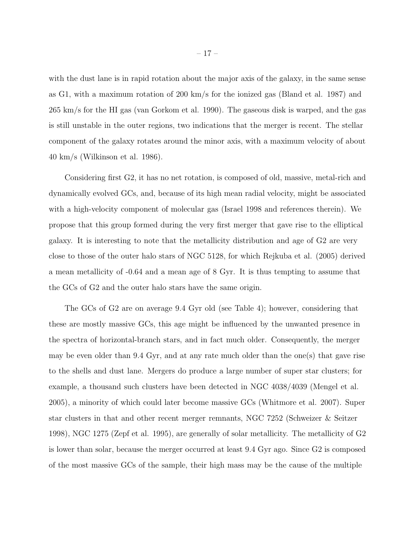with the dust lane is in rapid rotation about the major axis of the galaxy, in the same sense as G1, with a maximum rotation of 200 km/s for the ionized gas (Bland et al. 1987) and 265 km/s for the HI gas (van Gorkom et al. 1990). The gaseous disk is warped, and the gas is still unstable in the outer regions, two indications that the merger is recent. The stellar component of the galaxy rotates around the minor axis, with a maximum velocity of about 40 km/s (Wilkinson et al. 1986).

Considering first G2, it has no net rotation, is composed of old, massive, metal-rich and dynamically evolved GCs, and, because of its high mean radial velocity, might be associated with a high-velocity component of molecular gas (Israel 1998 and references therein). We propose that this group formed during the very first merger that gave rise to the elliptical galaxy. It is interesting to note that the metallicity distribution and age of G2 are very close to those of the outer halo stars of NGC 5128, for which Rejkuba et al. (2005) derived a mean metallicity of -0.64 and a mean age of 8 Gyr. It is thus tempting to assume that the GCs of G2 and the outer halo stars have the same origin.

The GCs of G2 are on average 9.4 Gyr old (see Table 4); however, considering that these are mostly massive GCs, this age might be influenced by the unwanted presence in the spectra of horizontal-branch stars, and in fact much older. Consequently, the merger may be even older than 9.4 Gyr, and at any rate much older than the one(s) that gave rise to the shells and dust lane. Mergers do produce a large number of super star clusters; for example, a thousand such clusters have been detected in NGC 4038/4039 (Mengel et al. 2005), a minority of which could later become massive GCs (Whitmore et al. 2007). Super star clusters in that and other recent merger remnants, NGC 7252 (Schweizer & Seitzer 1998), NGC 1275 (Zepf et al. 1995), are generally of solar metallicity. The metallicity of G2 is lower than solar, because the merger occurred at least 9.4 Gyr ago. Since G2 is composed of the most massive GCs of the sample, their high mass may be the cause of the multiple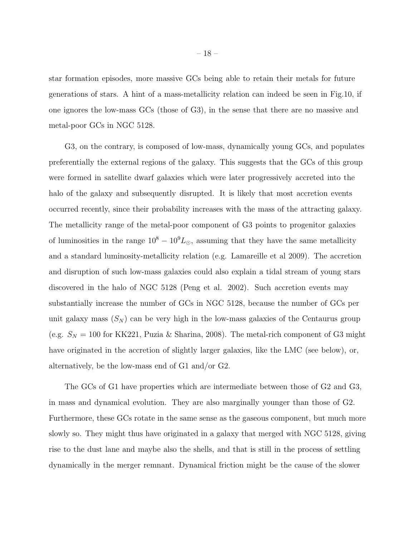star formation episodes, more massive GCs being able to retain their metals for future generations of stars. A hint of a mass-metallicity relation can indeed be seen in Fig.10, if one ignores the low-mass GCs (those of G3), in the sense that there are no massive and metal-poor GCs in NGC 5128.

G3, on the contrary, is composed of low-mass, dynamically young GCs, and populates preferentially the external regions of the galaxy. This suggests that the GCs of this group were formed in satellite dwarf galaxies which were later progressively accreted into the halo of the galaxy and subsequently disrupted. It is likely that most accretion events occurred recently, since their probability increases with the mass of the attracting galaxy. The metallicity range of the metal-poor component of G3 points to progenitor galaxies of luminosities in the range  $10^8 - 10^9 L_{\odot}$ , assuming that they have the same metallicity and a standard luminosity-metallicity relation (e.g. Lamareille et al 2009). The accretion and disruption of such low-mass galaxies could also explain a tidal stream of young stars discovered in the halo of NGC 5128 (Peng et al. 2002). Such accretion events may substantially increase the number of GCs in NGC 5128, because the number of GCs per unit galaxy mass  $(S_N)$  can be very high in the low-mass galaxies of the Centaurus group (e.g.  $S_N = 100$  for KK221, Puzia & Sharina, 2008). The metal-rich component of G3 might have originated in the accretion of slightly larger galaxies, like the LMC (see below), or, alternatively, be the low-mass end of G1 and/or G2.

The GCs of G1 have properties which are intermediate between those of G2 and G3, in mass and dynamical evolution. They are also marginally younger than those of G2. Furthermore, these GCs rotate in the same sense as the gaseous component, but much more slowly so. They might thus have originated in a galaxy that merged with NGC 5128, giving rise to the dust lane and maybe also the shells, and that is still in the process of settling dynamically in the merger remnant. Dynamical friction might be the cause of the slower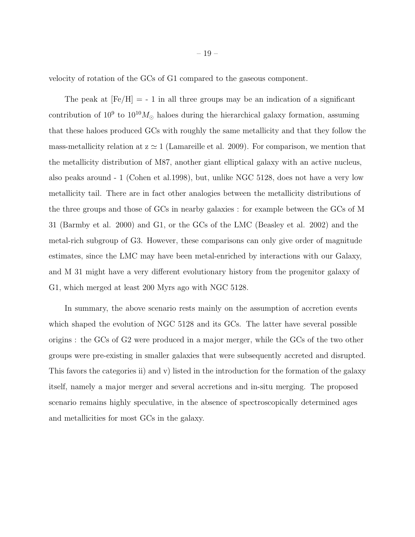velocity of rotation of the GCs of G1 compared to the gaseous component.

The peak at  $[Fe/H] = -1$  in all three groups may be an indication of a significant contribution of  $10^9$  to  $10^{10}M_{\odot}$  haloes during the hierarchical galaxy formation, assuming that these haloes produced GCs with roughly the same metallicity and that they follow the mass-metallicity relation at  $z \approx 1$  (Lamareille et al. 2009). For comparison, we mention that the metallicity distribution of M87, another giant elliptical galaxy with an active nucleus, also peaks around - 1 (Cohen et al.1998), but, unlike NGC 5128, does not have a very low metallicity tail. There are in fact other analogies between the metallicity distributions of the three groups and those of GCs in nearby galaxies : for example between the GCs of M 31 (Barmby et al. 2000) and G1, or the GCs of the LMC (Beasley et al. 2002) and the metal-rich subgroup of G3. However, these comparisons can only give order of magnitude estimates, since the LMC may have been metal-enriched by interactions with our Galaxy, and M 31 might have a very different evolutionary history from the progenitor galaxy of G1, which merged at least 200 Myrs ago with NGC 5128.

In summary, the above scenario rests mainly on the assumption of accretion events which shaped the evolution of NGC 5128 and its GCs. The latter have several possible origins : the GCs of G2 were produced in a major merger, while the GCs of the two other groups were pre-existing in smaller galaxies that were subsequently accreted and disrupted. This favors the categories ii) and v) listed in the introduction for the formation of the galaxy itself, namely a major merger and several accretions and in-situ merging. The proposed scenario remains highly speculative, in the absence of spectroscopically determined ages and metallicities for most GCs in the galaxy.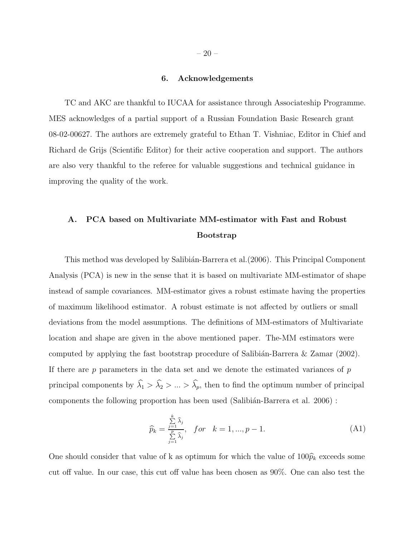## 6. Acknowledgements

TC and AKC are thankful to IUCAA for assistance through Associateship Programme. MES acknowledges of a partial support of a Russian Foundation Basic Research grant 08-02-00627. The authors are extremely grateful to Ethan T. Vishniac, Editor in Chief and Richard de Grijs (Scientific Editor) for their active cooperation and support. The authors are also very thankful to the referee for valuable suggestions and technical guidance in improving the quality of the work.

# A. PCA based on Multivariate MM-estimator with Fast and Robust Bootstrap

This method was developed by Salibián-Barrera et al. (2006). This Principal Component Analysis (PCA) is new in the sense that it is based on multivariate MM-estimator of shape instead of sample covariances. MM-estimator gives a robust estimate having the properties of maximum likelihood estimator. A robust estimate is not affected by outliers or small deviations from the model assumptions. The definitions of MM-estimators of Multivariate location and shape are given in the above mentioned paper. The-MM estimators were computed by applying the fast bootstrap procedure of Salibián-Barrera  $\&$  Zamar (2002). If there are  $p$  parameters in the data set and we denote the estimated variances of  $p$ principal components by  $\widehat{\lambda}_1 > \widehat{\lambda}_2 > ... > \widehat{\lambda}_p$ , then to find the optimum number of principal components the following proportion has been used (Salibián-Barrera et al. 2006) :

$$
\widehat{p}_k = \frac{\sum\limits_{j=1}^k \widehat{\lambda}_j}{\sum\limits_{j=1}^p \widehat{\lambda}_j}, \quad \text{for} \quad k = 1, \dots, p-1. \tag{A1}
$$

One should consider that value of k as optimum for which the value of  $100\hat{p}_k$  exceeds some cut off value. In our case, this cut off value has been chosen as 90%. One can also test the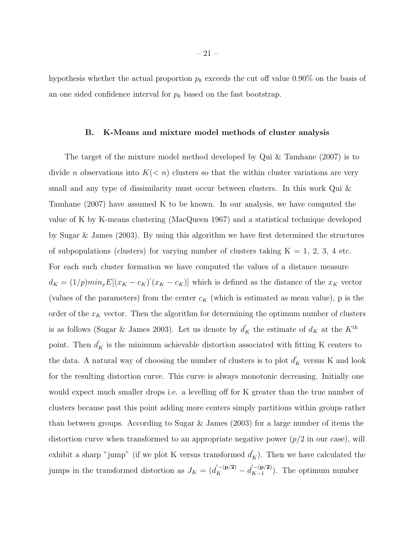hypothesis whether the actual proportion  $p_k$  exceeds the cut off value 0.90% on the basis of an one sided confidence interval for  $p_k$  based on the fast bootstrap.

## B. K-Means and mixture model methods of cluster analysis

The target of the mixture model method developed by Qui & Tamhane (2007) is to divide *n* observations into  $K(*n*)$  clusters so that the within cluster variations are very small and any type of dissimilarity must occur between clusters. In this work Qui & Tamhane (2007) have assumed K to be known. In our analysis, we have computed the value of K by K-means clustering (MacQueen 1967) and a statistical technique developed by Sugar & James (2003). By using this algorithm we have first determined the structures of subpopulations (clusters) for varying number of clusters taking  $K = 1, 2, 3, 4$  etc. For each such cluster formation we have computed the values of a distance measure  $d_K = (1/p)min_x E[(x_K - c_K)'(x_K - c_K)]$  which is defined as the distance of the  $x_K$  vector (values of the parameters) from the center  $c_K$  (which is estimated as mean value), p is the order of the  $x_K$  vector. Then the algorithm for determining the optimum number of clusters is as follows (Sugar & James 2003). Let us denote by  $d'_{K}$  the estimate of  $d_{K}$  at the  $K^{th}$ point. Then  $d'_{K}$  is the minimum achievable distortion associated with fitting K centers to the data. A natural way of choosing the number of clusters is to plot  $d'_{K}$  versus K and look for the resulting distortion curve. This curve is always monotonic decreasing. Initially one would expect much smaller drops i.e. a levelling off for K greater than the true number of clusters because past this point adding more centers simply partitions within groups rather than between groups. According to Sugar & James (2003) for a large number of items the distortion curve when transformed to an appropriate negative power  $(p/2$  in our case), will exhibit a sharp "jump" (if we plot K versus transformed  $d'_{K}$ ). Then we have calculated the jumps in the transformed distortion as  $J_K = (d_K^{(-({\bf p}/2)} - d_{K-1}^{(-({\bf p}/2)}))$  $K^{-1}(\mathbf{p}/2)$ . The optimum number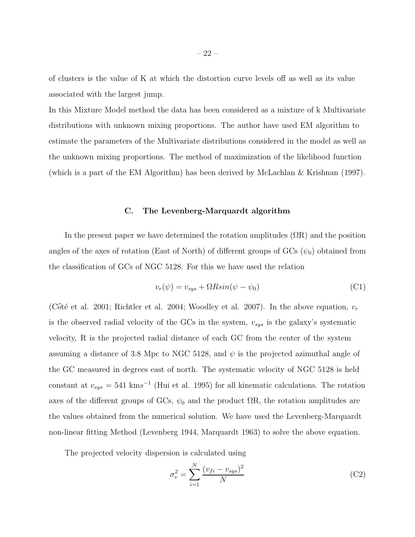of clusters is the value of K at which the distortion curve levels off as well as its value associated with the largest jump.

In this Mixture Model method the data has been considered as a mixture of k Multivariate distributions with unknown mixing proportions. The author have used EM algorithm to estimate the parameters of the Multivariate distributions considered in the model as well as the unknown mixing proportions. The method of maximization of the likelihood function (which is a part of the EM Algorithm) has been derived by McLachlan & Krishnan (1997).

## C. The Levenberg-Marquardt algorithm

In the present paper we have determined the rotation amplitudes  $(\Omega R)$  and the position angles of the axes of rotation (East of North) of different groups of GCs  $(\psi_0)$  obtained from the classification of GCs of NGC 5128. For this we have used the relation

$$
v_r(\psi) = v_{sys} + \Omega R sin(\psi - \psi_0)
$$
\n(C1)

(Côté et al. 2001; Richtler et al. 2004; Woodley et al. 2007). In the above equation,  $v_r$ is the observed radial velocity of the GCs in the system,  $v_{sys}$  is the galaxy's systematic velocity, R is the projected radial distance of each GC from the center of the system assuming a distance of 3.8 Mpc to NGC 5128, and  $\psi$  is the projected azimuthal angle of the GC measured in degrees east of north. The systematic velocity of NGC 5128 is held constant at  $v_{sys} = 541 \text{ km s}^{-1}$  (Hui et al. 1995) for all kinematic calculations. The rotation axes of the different groups of GCs,  $\psi_0$  and the product  $\Omega$ R, the rotation amplitudes are the values obtained from the numerical solution. We have used the Levenberg-Marquardt non-linear fitting Method (Levenberg 1944, Marquardt 1963) to solve the above equation.

The projected velocity dispersion is calculated using

$$
\sigma_v^2 = \sum_{i=1}^N \frac{(v_{fi} - v_{sys})^2}{N}
$$
 (C2)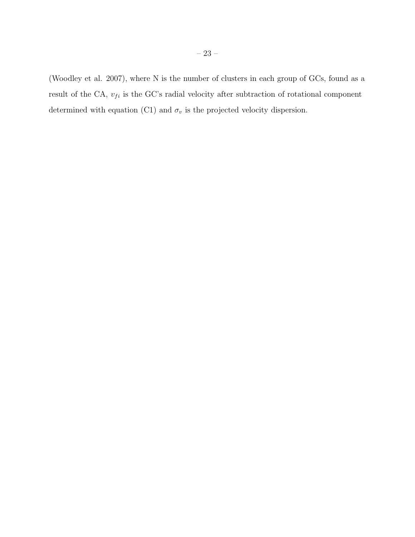(Woodley et al. 2007), where N is the number of clusters in each group of GCs, found as a result of the CA,  $v_{fi}$  is the GC's radial velocity after subtraction of rotational component determined with equation (C1) and  $\sigma_v$  is the projected velocity dispersion.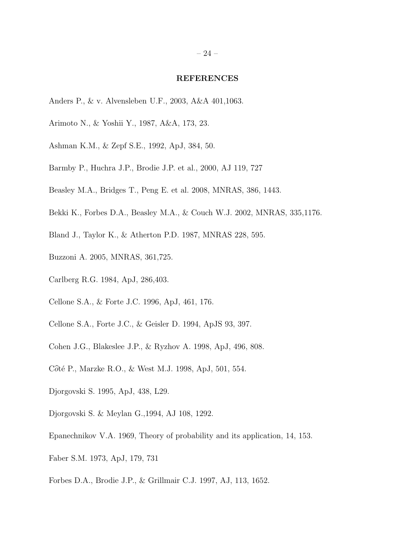#### REFERENCES

- Anders P., & v. Alvensleben U.F., 2003, A&A 401,1063.
- Arimoto N., & Yoshii Y., 1987, A&A, 173, 23.
- Ashman K.M., & Zepf S.E., 1992, ApJ, 384, 50.
- Barmby P., Huchra J.P., Brodie J.P. et al., 2000, AJ 119, 727
- Beasley M.A., Bridges T., Peng E. et al. 2008, MNRAS, 386, 1443.
- Bekki K., Forbes D.A., Beasley M.A., & Couch W.J. 2002, MNRAS, 335,1176.
- Bland J., Taylor K., & Atherton P.D. 1987, MNRAS 228, 595.
- Buzzoni A. 2005, MNRAS, 361,725.
- Carlberg R.G. 1984, ApJ, 286,403.
- Cellone S.A., & Forte J.C. 1996, ApJ, 461, 176.
- Cellone S.A., Forte J.C., & Geisler D. 1994, ApJS 93, 397.
- Cohen J.G., Blakeslee J.P., & Ryzhov A. 1998, ApJ, 496, 808.
- Côté P., Marzke R.O., & West M.J. 1998, ApJ, 501, 554.
- Djorgovski S. 1995, ApJ, 438, L29.
- Djorgovski S. & Meylan G.,1994, AJ 108, 1292.
- Epanechnikov V.A. 1969, Theory of probability and its application, 14, 153.
- Faber S.M. 1973, ApJ, 179, 731
- Forbes D.A., Brodie J.P., & Grillmair C.J. 1997, AJ, 113, 1652.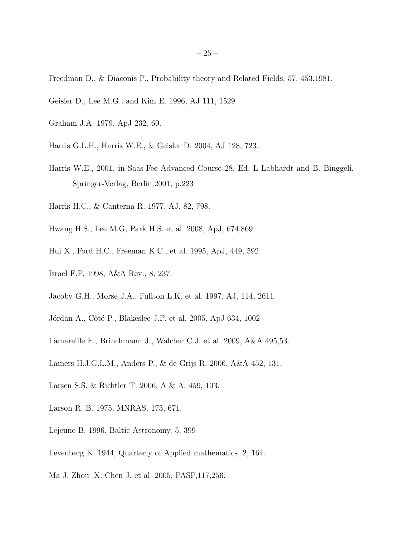Freedman D., & Diaconis P., Probability theory and Related Fields, 57, 453,1981.

- Geisler D., Lee M.G., and Kim E. 1996, AJ 111, 1529
- Graham J.A. 1979, ApJ 232, 60.
- Harris G.L.H., Harris W.E., & Geisler D. 2004, AJ 128, 723.
- Harris W.E., 2001, in Saas-Fee Advanced Course 28. Ed. L Labhardt and B. Binggeli. Springer-Verlag, Berlin,2001, p.223
- Harris H.C., & Canterna R. 1977, AJ, 82, 798.
- Hwang H.S., Lee M.G, Park H.S. et al. 2008, ApJ, 674,869.
- Hui X., Ford H.C., Freeman K.C., et al. 1995, ApJ, 449, 592
- Israel F.P. 1998, A&A Rev., 8, 237.
- Jacoby G.H., Morse J.A., Fullton L.K. et al. 1997, AJ, 114, 2611.
- Jórdan A., Côté P., Blakeslee J.P. et al. 2005, ApJ 634, 1002
- Lamareille F., Brinchmann J., Walcher C.J. et al. 2009, A&A 495,53.
- Lamers H.J.G.L.M., Anders P., & de Grijs R. 2006, A&A 452, 131.
- Larsen S.S. & Richtler T. 2006, A & A, 459, 103.
- Larson R. B. 1975, MNRAS, 173, 671.
- Lejeune B. 1996, Baltic Astronomy, 5, 399
- Levenberg K. 1944, Quarterly of Applied mathematics, 2, 164.
- Ma J. Zhou ,X. Chen J. et al. 2005, PASP,117,256.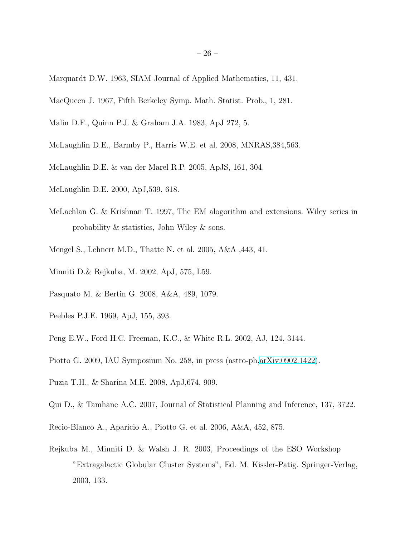- Marquardt D.W. 1963, SIAM Journal of Applied Mathematics, 11, 431.
- MacQueen J. 1967, Fifth Berkeley Symp. Math. Statist. Prob., 1, 281.
- Malin D.F., Quinn P.J. & Graham J.A. 1983, ApJ 272, 5.
- McLaughlin D.E., Barmby P., Harris W.E. et al. 2008, MNRAS,384,563.
- McLaughlin D.E. & van der Marel R.P. 2005, ApJS, 161, 304.
- McLaughlin D.E. 2000, ApJ,539, 618.
- McLachlan G. & Krishnan T. 1997, The EM alogorithm and extensions. Wiley series in probability & statistics, John Wiley & sons.
- Mengel S., Lehnert M.D., Thatte N. et al. 2005, A&A ,443, 41.
- Minniti D.& Rejkuba, M. 2002, ApJ, 575, L59.
- Pasquato M. & Bertin G. 2008, A&A, 489, 1079.
- Peebles P.J.E. 1969, ApJ, 155, 393.
- Peng E.W., Ford H.C. Freeman, K.C., & White R.L. 2002, AJ, 124, 3144.
- Piotto G. 2009, IAU Symposium No. 258, in press (astro-ph[,arXiv:0902.1422\)](http://arxiv.org/abs/0902.1422).
- Puzia T.H., & Sharina M.E. 2008, ApJ,674, 909.
- Qui D., & Tamhane A.C. 2007, Journal of Statistical Planning and Inference, 137, 3722.
- Recio-Blanco A., Aparicio A., Piotto G. et al. 2006, A&A, 452, 875.
- Rejkuba M., Minniti D. & Walsh J. R. 2003, Proceedings of the ESO Workshop "Extragalactic Globular Cluster Systems", Ed. M. Kissler-Patig. Springer-Verlag, 2003, 133.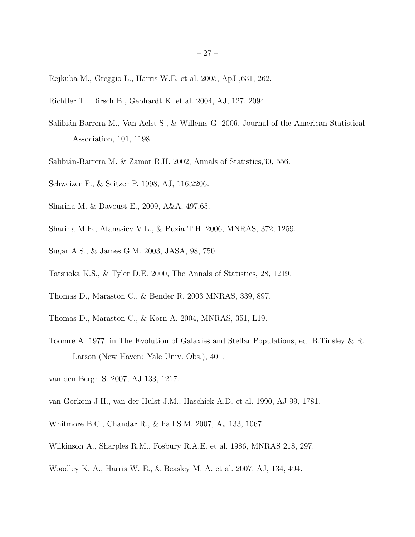- Rejkuba M., Greggio L., Harris W.E. et al. 2005, ApJ ,631, 262.
- Richtler T., Dirsch B., Gebhardt K. et al. 2004, AJ, 127, 2094
- Salibián-Barrera M., Van Aelst S., & Willems G. 2006, Journal of the American Statistical Association, 101, 1198.
- Salibián-Barrera M. & Zamar R.H. 2002, Annals of Statistics, 30, 556.
- Schweizer F., & Seitzer P. 1998, AJ, 116,2206.
- Sharina M. & Davoust E., 2009, A&A, 497,65.
- Sharina M.E., Afanasiev V.L., & Puzia T.H. 2006, MNRAS, 372, 1259.
- Sugar A.S., & James G.M. 2003, JASA, 98, 750.
- Tatsuoka K.S., & Tyler D.E. 2000, The Annals of Statistics, 28, 1219.
- Thomas D., Maraston C., & Bender R. 2003 MNRAS, 339, 897.
- Thomas D., Maraston C., & Korn A. 2004, MNRAS, 351, L19.
- Toomre A. 1977, in The Evolution of Galaxies and Stellar Populations, ed. B.Tinsley & R. Larson (New Haven: Yale Univ. Obs.), 401.
- van den Bergh S. 2007, AJ 133, 1217.
- van Gorkom J.H., van der Hulst J.M., Haschick A.D. et al. 1990, AJ 99, 1781.
- Whitmore B.C., Chandar R., & Fall S.M. 2007, AJ 133, 1067.
- Wilkinson A., Sharples R.M., Fosbury R.A.E. et al. 1986, MNRAS 218, 297.
- Woodley K. A., Harris W. E., & Beasley M. A. et al. 2007, AJ, 134, 494.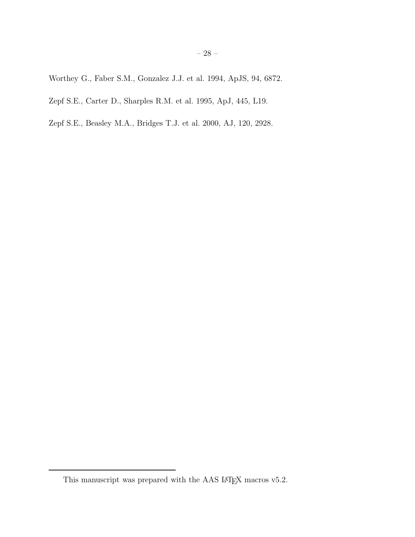Worthey G., Faber S.M., Gonzalez J.J. et al. 1994, ApJS, 94, 6872.

Zepf S.E., Carter D., Sharples R.M. et al. 1995, ApJ, 445, L19.

Zepf S.E., Beasley M.A., Bridges T.J. et al. 2000, AJ, 120, 2928.

This manuscript was prepared with the AAS IATEX macros v5.2.  $\,$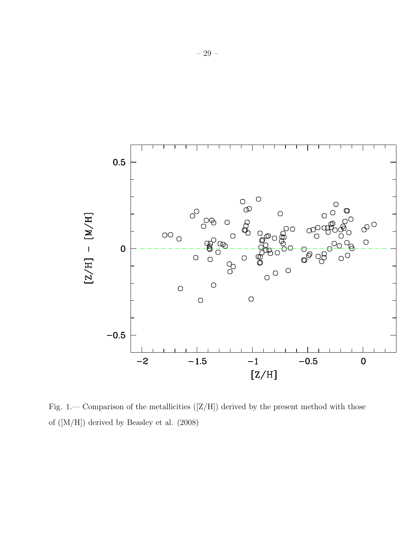

Fig. 1.— Comparison of the metallicities  $([Z/H])$  derived by the present method with those of ([M/H]) derived by Beasley et al. (2008)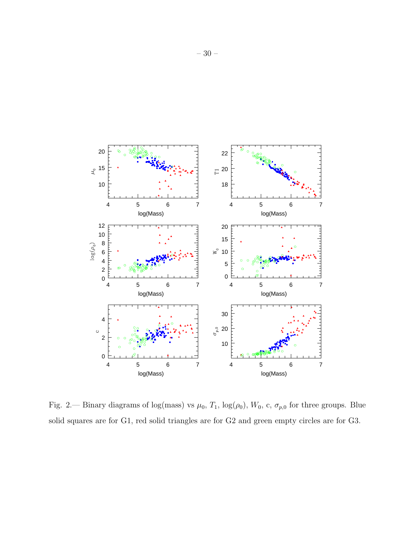

Fig. 2.— Binary diagrams of log(mass) vs  $\mu_0$ ,  $T_1$ , log( $\rho_0$ ),  $W_0$ , c,  $\sigma_{p,0}$  for three groups. Blue solid squares are for G1, red solid triangles are for G2 and green empty circles are for G3.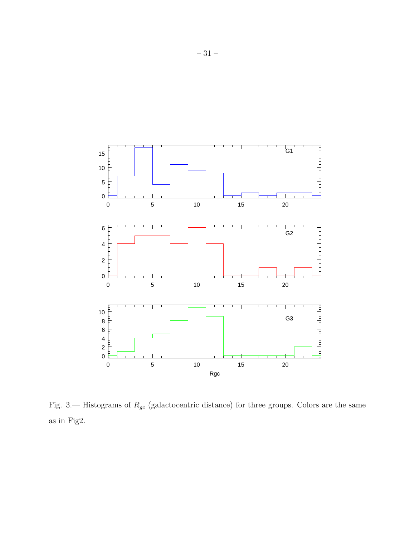

Fig. 3.— Histograms of  $R_{gc}$  (galactocentric distance) for three groups. Colors are the same as in Fig2.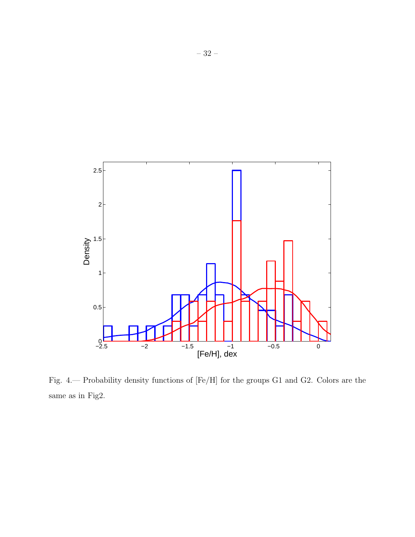

Fig. 4.— Probability density functions of [Fe/H] for the groups G1 and G2. Colors are the same as in Fig2.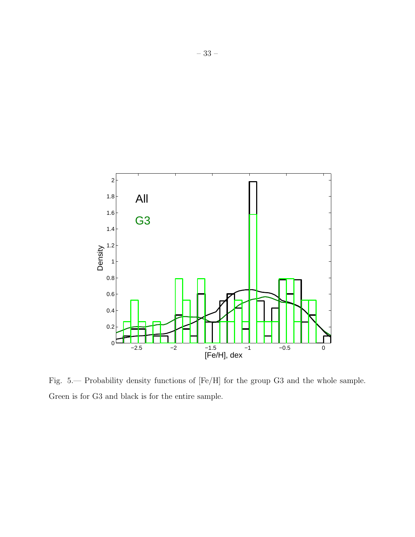

Fig. 5.— Probability density functions of [Fe/H] for the group G3 and the whole sample. Green is for G3 and black is for the entire sample.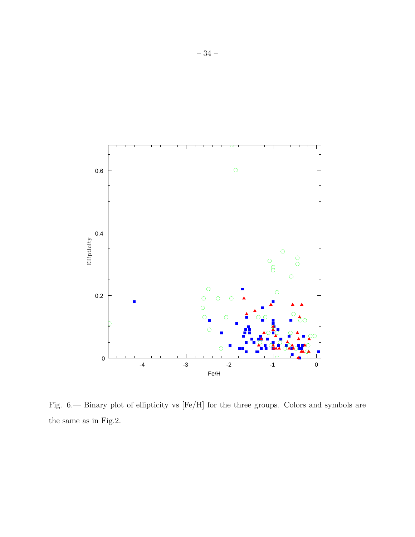

Fig. 6.— Binary plot of ellipticity vs [Fe/H] for the three groups. Colors and symbols are the same as in Fig.2.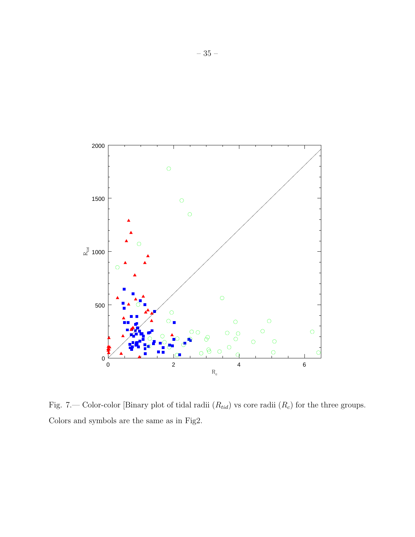

Fig. 7.— Color-color [Binary plot of tidal radii  $(R_{tid})$  vs core radii  $(R_c)$  for the three groups. Colors and symbols are the same as in Fig2.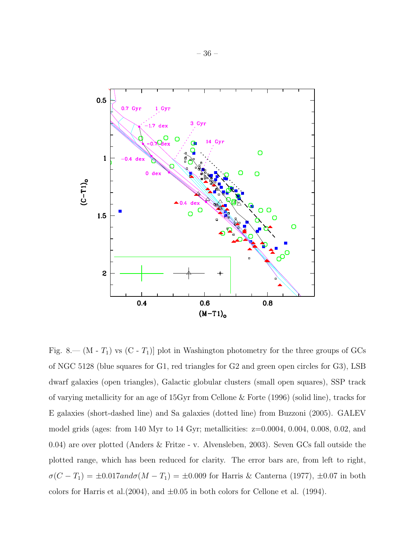

Fig. 8.— (M -  $T_1$ ) vs (C -  $T_1$ )] plot in Washington photometry for the three groups of GCs of NGC 5128 (blue squares for G1, red triangles for G2 and green open circles for G3), LSB dwarf galaxies (open triangles), Galactic globular clusters (small open squares), SSP track of varying metallicity for an age of 15Gyr from Cellone & Forte (1996) (solid line), tracks for E galaxies (short-dashed line) and Sa galaxies (dotted line) from Buzzoni (2005). GALEV model grids (ages: from 140 Myr to 14 Gyr; metallicities:  $z=0.0004$ , 0.004, 0.008, 0.02, and 0.04) are over plotted (Anders & Fritze - v. Alvensleben, 2003). Seven GCs fall outside the plotted range, which has been reduced for clarity. The error bars are, from left to right,  $\sigma(C - T_1) = \pm 0.017$ and $\sigma(M - T_1) = \pm 0.009$  for Harris & Canterna (1977),  $\pm 0.07$  in both colors for Harris et al.  $(2004)$ , and  $\pm 0.05$  in both colors for Cellone et al.  $(1994)$ .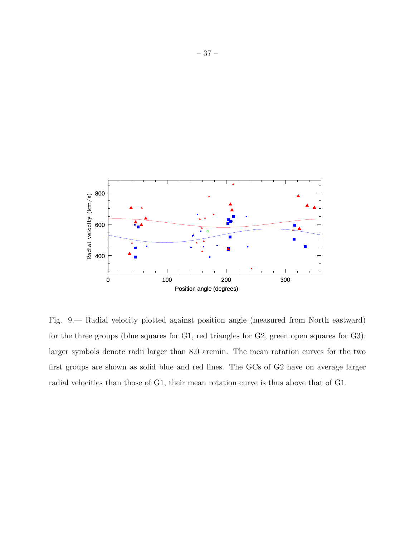

Fig. 9.— Radial velocity plotted against position angle (measured from North eastward) for the three groups (blue squares for G1, red triangles for G2, green open squares for G3). larger symbols denote radii larger than 8.0 arcmin. The mean rotation curves for the two first groups are shown as solid blue and red lines. The GCs of G2 have on average larger radial velocities than those of G1, their mean rotation curve is thus above that of G1.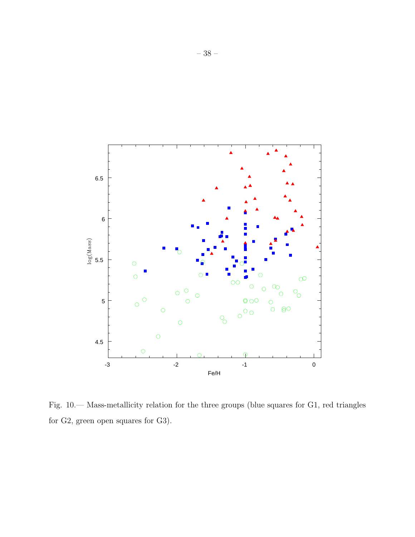

Fig. 10.— Mass-metallicity relation for the three groups (blue squares for G1, red triangles for G2, green open squares for G3).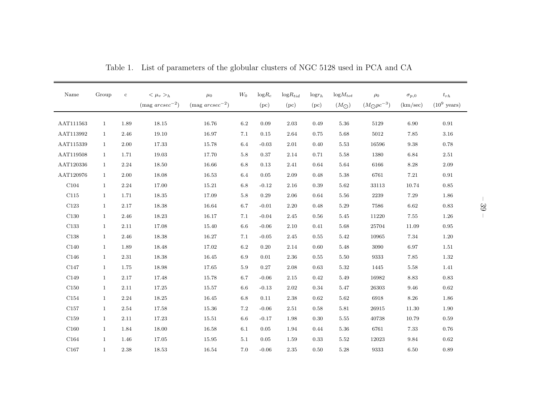| Name             | Group        | $\mathbf c$ | $<\mu_v>_{h}$<br>$(mag arcsec^{-2})$ | $\mu_0$<br>(mag $\mathit{arcsec}^{-2})$ | $W_0$   | $\mathrm{log}R_{c}$<br>(pc) | $logR_{tid}$<br>(pc) | $log r_h$<br>(pc) | $logM_{tot}$<br>$(M_{\bigodot})$ | $\rho_0$<br>$(M_{\bigodot}pc^{-3})$ | $\sigma_{p,0}$<br>(km/sec) | $t_{rh}$<br>$(10^9 \text{ years})$ |
|------------------|--------------|-------------|--------------------------------------|-----------------------------------------|---------|-----------------------------|----------------------|-------------------|----------------------------------|-------------------------------------|----------------------------|------------------------------------|
| AAT111563        | $\mathbf{1}$ | 1.89        | 18.15                                | 16.76                                   | $6.2\,$ | 0.09                        | 2.03                 | 0.49              | 5.36                             | 5129                                | 6.90                       | 0.91                               |
| AAT113992        | $\mathbf{1}$ | 2.46        | 19.10                                | 16.97                                   | 7.1     | 0.15                        | 2.64                 | 0.75              | 5.68                             | 5012                                | 7.85                       | $3.16\,$                           |
| AAT115339        | $\mathbf{1}$ | 2.00        | 17.33                                | 15.78                                   | 6.4     | $-0.03$                     | 2.01                 | 0.40              | 5.53                             | 16596                               | 9.38                       | $0.78\,$                           |
| AAT119508        | 1            | 1.71        | 19.03                                | 17.70                                   | $5.8\,$ | 0.37                        | 2.14                 | 0.71              | 5.58                             | 1380                                | 6.84                       | $2.51\,$                           |
| AAT120336        | $\mathbf{1}$ | 2.24        | 18.50                                | 16.66                                   | 6.8     | 0.13                        | 2.41                 | 0.64              | 5.64                             | 6166                                | 8.28                       | $2.09\,$                           |
| AAT120976        | $\mathbf{1}$ | 2.00        | 18.08                                | 16.53                                   | 6.4     | 0.05                        | 2.09                 | 0.48              | 5.38                             | 6761                                | 7.21                       | 0.91                               |
| C104             | $\mathbf{1}$ | 2.24        | 17.00                                | 15.21                                   | $6.8\,$ | $-0.12$                     | 2.16                 | 0.39              | 5.62                             | 33113                               | 10.74                      | 0.85                               |
| C115             | $\mathbf{1}$ | 1.71        | 18.35                                | 17.09                                   | $5.8\,$ | 0.29                        | 2.06                 | 0.64              | 5.56                             | 2239                                | 7.29                       | $1.86\,$                           |
| C123             | $\mathbf{1}$ | 2.17        | 18.38                                | 16.64                                   | 6.7     | $-0.01$                     | 2.20                 | 0.48              | $5.29\,$                         | 7586                                | 6.62                       | 0.83                               |
| C <sub>130</sub> | $\mathbf{1}$ | 2.46        | 18.23                                | 16.17                                   | 7.1     | $-0.04$                     | 2.45                 | 0.56              | 5.45                             | 11220                               | 7.55                       | $1.26\,$                           |
| C133             | $\mathbf{1}$ | 2.11        | 17.08                                | 15.40                                   | $6.6\,$ | $-0.06$                     | 2.10                 | 0.41              | 5.68                             | 25704                               | 11.09                      | $\rm 0.95$                         |
| C138             | $\mathbf{1}$ | 2.46        | 18.38                                | 16.27                                   | 7.1     | $-0.05$                     | 2.45                 | 0.55              | 5.42                             | 10965                               | 7.34                       | 1.20                               |
| C <sub>140</sub> | $\mathbf{1}$ | 1.89        | 18.48                                | 17.02                                   | 6.2     | 0.20                        | 2.14                 | 0.60              | 5.48                             | 3090                                | 6.97                       | 1.51                               |
| C146             | $\mathbf{1}$ | $2.31\,$    | 18.38                                | 16.45                                   | 6.9     | 0.01                        | 2.36                 | 0.55              | $5.50\,$                         | 9333                                | 7.85                       | 1.32                               |
| C147             | $\mathbf{1}$ | 1.75        | 18.98                                | 17.65                                   | $5.9\,$ | 0.27                        | 2.08                 | 0.63              | $5.32\,$                         | 1445                                | 5.58                       | 1.41                               |
| C149             | $\mathbf{1}$ | 2.17        | 17.48                                | 15.78                                   | 6.7     | $-0.06$                     | 2.15                 | 0.42              | 5.49                             | 16982                               | 8.83                       | $\rm 0.83$                         |
| C150             | $\mathbf{1}$ | 2.11        | 17.25                                | 15.57                                   | 6.6     | $-0.13$                     | 2.02                 | 0.34              | 5.47                             | 26303                               | 9.46                       | 0.62                               |
| C154             | $\mathbf{1}$ | 2.24        | 18.25                                | 16.45                                   | 6.8     | 0.11                        | 2.38                 | 0.62              | 5.62                             | 6918                                | 8.26                       | 1.86                               |
| C <sub>157</sub> | $\mathbf{1}$ | 2.54        | 17.58                                | 15.36                                   | 7.2     | $-0.06$                     | 2.51                 | 0.58              | 5.81                             | 26915                               | 11.30                      | 1.90                               |
| C <sub>159</sub> | $\mathbf{1}$ | 2.11        | 17.23                                | 15.51                                   | $6.6\,$ | $-0.17$                     | 1.98                 | $0.30\,$          | $5.55\,$                         | 40738                               | 10.79                      | $0.59\,$                           |
| C160             | $\mathbf{1}$ | 1.84        | 18.00                                | 16.58                                   | 6.1     | 0.05                        | 1.94                 | 0.44              | $5.36\,$                         | 6761                                | 7.33                       | $0.76\,$                           |
| C <sub>164</sub> | $\mathbf{1}$ | 1.46        | 17.05                                | 15.95                                   | 5.1     | 0.05                        | 1.59                 | 0.33              | 5.52                             | 12023                               | 9.84                       | $\,0.62\,$                         |
| C <sub>167</sub> | $\mathbf{1}$ | 2.38        | $18.53\,$                            | 16.54                                   | 7.0     | $-0.06$                     | $2.35\,$             | $0.50\,$          | 5.28                             | 9333                                | 6.50                       | 0.89                               |

Table 1. List of parameters of the <sup>g</sup>lobular clusters of NGC <sup>5128</sup> used in PCA and CA

– 39 –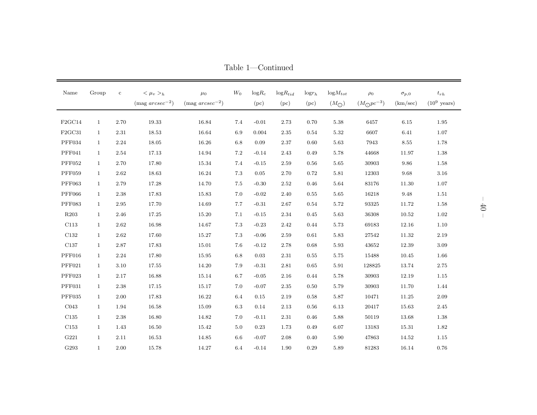| Name             | Group        | $\mathbf c$ | $<\mu_v>_h$<br>(mag $\arcsec^{-2}$ ) | $\mu_0$<br>(mag $\arccsc^{-2}$ ) | $W_0$   | $logR_c$<br>(pc) | $logR_{tid}$<br>(pc) | $log r_h$<br>(pc) | $logM_{tot}$<br>$(M_{\bigodot})$ | $\rho_0$<br>$(M_{\bigodot}pc^{-3})$ | $\sigma_{p,0}$<br>(km/sec) | $t_{rh}$<br>$(10^9 \text{ years})$ |
|------------------|--------------|-------------|--------------------------------------|----------------------------------|---------|------------------|----------------------|-------------------|----------------------------------|-------------------------------------|----------------------------|------------------------------------|
| F2GC14           | $\mathbf{1}$ | 2.70        | 19.33                                | 16.84                            | 7.4     | $-0.01$          | 2.73                 | 0.70              | 5.38                             | 6457                                | 6.15                       | 1.95                               |
| F2GC31           | $\mathbf{1}$ | 2.31        | 18.53                                | 16.64                            | 6.9     | 0.004            | 2.35                 | 0.54              | 5.32                             | 6607                                | 6.41                       | 1.07                               |
| PFF034           | $\mathbf{1}$ | 2.24        | 18.05                                | 16.26                            | $6.8\,$ | 0.09             | $2.37\,$             | 0.60              | $5.63\,$                         | 7943                                | $8.55\,$                   | 1.78                               |
| PFF041           | $\mathbf{1}$ | 2.54        | 17.13                                | 14.94                            | $7.2\,$ | $-0.14$          | 2.43                 | 0.49              | 5.78                             | 44668                               | 11.97                      | 1.38                               |
| <b>PFF052</b>    | $\mathbf{1}$ | 2.70        | 17.80                                | 15.34                            | 7.4     | $-0.15$          | 2.59                 | 0.56              | 5.65                             | 30903                               | 9.86                       | 1.58                               |
| <b>PFF059</b>    | $\mathbf{1}$ | 2.62        | 18.63                                | 16.24                            | 7.3     | 0.05             | 2.70                 | 0.72              | $5.81\,$                         | 12303                               | 9.68                       | $3.16\,$                           |
| <b>PFF063</b>    | $\mathbf{1}$ | 2.79        | 17.28                                | 14.70                            | $7.5\,$ | $-0.30$          | 2.52                 | 0.46              | 5.64                             | 83176                               | 11.30                      | 1.07                               |
| <b>PFF066</b>    | $\mathbf{1}$ | 2.38        | 17.83                                | 15.83                            | 7.0     | $-0.02$          | 2.40                 | 0.55              | 5.65                             | 16218                               | $\boldsymbol{9.48}$        | 1.51                               |
| <b>PFF083</b>    | $\mathbf{1}$ | 2.95        | 17.70                                | 14.69                            | 7.7     | $-0.31$          | 2.67                 | 0.54              | 5.72                             | 93325                               | 11.72                      | 1.58                               |
| R <sub>203</sub> | $\mathbf{1}$ | 2.46        | 17.25                                | 15.20                            | 7.1     | $-0.15$          | 2.34                 | 0.45              | 5.63                             | 36308                               | 10.52                      | 1.02                               |
| C113             | $\mathbf{1}$ | 2.62        | 16.98                                | 14.67                            | 7.3     | $-0.23$          | 2.42                 | 0.44              | 5.73                             | 69183                               | 12.16                      | 1.10                               |
| C132             | $\mathbf{1}$ | 2.62        | 17.60                                | 15.27                            | $7.3\,$ | $-0.06$          | 2.59                 | 0.61              | 5.83                             | 27542                               | 11.32                      | 2.19                               |
| $\rm C137$       | $\mathbf{1}$ | 2.87        | 17.83                                | 15.01                            | 7.6     | $-0.12$          | 2.78                 | 0.68              | 5.93                             | 43652                               | 12.39                      | 3.09                               |
| PFF016           | $\mathbf{1}$ | 2.24        | 17.80                                | 15.95                            | 6.8     | 0.03             | 2.31                 | 0.55              | 5.75                             | 15488                               | 10.45                      | 1.66                               |
| PFF021           | $\mathbf{1}$ | 3.10        | 17.55                                | 14.20                            | 7.9     | $-0.31$          | $2.81\,$             | 0.65              | $5.91\,$                         | 128825                              | 13.74                      | 2.75                               |
| PFF023           | $\mathbf{1}$ | 2.17        | 16.88                                | 15.14                            | 6.7     | $-0.05$          | 2.16                 | 0.44              | 5.78                             | 30903                               | 12.19                      | 1.15                               |
| PFF031           | $\mathbf{1}$ | 2.38        | 17.15                                | 15.17                            | $7.0\,$ | $-0.07$          | 2.35                 | 0.50              | 5.79                             | 30903                               | 11.70                      | 1.44                               |
| $\rm PFF035$     | $\mathbf{1}$ | 2.00        | 17.83                                | 16.22                            | 6.4     | 0.15             | 2.19                 | 0.58              | 5.87                             | 10471                               | 11.25                      | 2.09                               |
| CO <sub>43</sub> | $\mathbf{1}$ | 1.94        | 16.58                                | 15.09                            | $6.3\,$ | 0.14             | 2.13                 | 0.56              | 6.13                             | 20417                               | 15.63                      | $2.45\,$                           |
| C135             | $\mathbf{1}$ | 2.38        | 16.80                                | 14.82                            | 7.0     | $-0.11$          | 2.31                 | 0.46              | 5.88                             | 50119                               | 13.68                      | 1.38                               |
| C <sub>153</sub> | $\mathbf{1}$ | 1.43        | 16.50                                | 15.42                            | $5.0\,$ | 0.23             | 1.73                 | 0.49              | 6.07                             | 13183                               | 15.31                      | 1.82                               |
| G221             | $\mathbf{1}$ | 2.11        | 16.53                                | 14.85                            | 6.6     | $-0.07$          | 2.08                 | 0.40              | 5.90                             | 47863                               | 14.52                      | 1.15                               |
| G293             | $\mathbf{1}$ | 2.00        | 15.78                                | 14.27                            | 6.4     | $-0.14$          | 1.90                 | $0.29\,$          | 5.89                             | 81283                               | 16.14                      | 0.76                               |

Table 1—Continued

 $-40 -$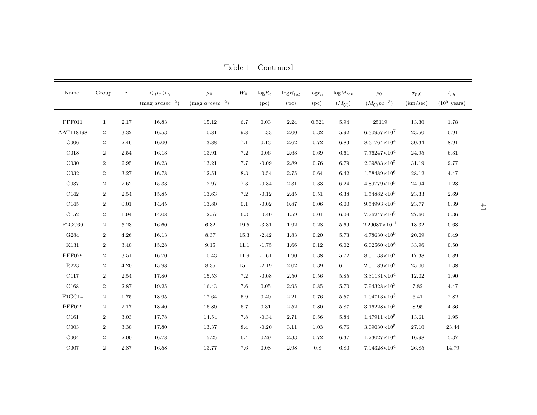| Name             | Group          | $\mathbf c$ | $<\mu_v>_{h}$         | $\mu_0$               | $W_0$   | $\mathrm{log}R_{c}$ | $logR_{tid}$ | $log r_h$ | $logM_{tot}$     | $\rho_0$                | $\sigma_{p,0}$ | $t_{rh}$               |
|------------------|----------------|-------------|-----------------------|-----------------------|---------|---------------------|--------------|-----------|------------------|-------------------------|----------------|------------------------|
|                  |                |             | (mag $\arcsec^{-2}$ ) | (mag $\arccsc^{-2}$ ) |         | (pc)                | (pc)         | (pc)      | $(M_{\bigodot})$ | $(M_{\bigodot}pc^{-3})$ | (km/sec)       | $(10^9 \text{ years})$ |
| PFF011           | $\mathbf{1}$   | 2.17        | 16.83                 | $15.12\,$             | 6.7     | 0.03                | 2.24         | 0.521     | 5.94             | $25119\,$               | 13.30          | 1.78                   |
| AAT118198        | $\overline{2}$ | 3.32        | 16.53                 | 10.81                 | 9.8     | $-1.33$             | 2.00         | 0.32      | 5.92             | $6.30957\times10^{7}$   | 23.50          | 0.91                   |
| C006             | $\overline{2}$ | 2.46        | 16.00                 | 13.88                 | 7.1     | 0.13                | 2.62         | 0.72      | 6.83             | $8.31764\times10^{4}$   | 30.34          | 8.91                   |
| CO18             | $\overline{2}$ | 2.54        | 16.13                 | 13.91                 | 7.2     | 0.06                | 2.63         | 0.69      | 6.61             | $7.76247\times10^{4}$   | $24.95\,$      | 6.31                   |
| C <sub>030</sub> | $\overline{2}$ | 2.95        | 16.23                 | 13.21                 | 7.7     | $-0.09$             | 2.89         | 0.76      | 6.79             | $2.39883\times10^{5}$   | 31.19          | 9.77                   |
| C <sub>032</sub> | $\overline{2}$ | 3.27        | 16.78                 | 12.51                 | 8.3     | $-0.54$             | 2.75         | 0.64      | 6.42             | $1.58489\times10^{6}$   | $28.12\,$      | 4.47                   |
| C037             | $\overline{2}$ | 2.62        | 15.33                 | 12.97                 | 7.3     | $-0.34$             | 2.31         | 0.33      | 6.24             | $4.89779\times10^{5}$   | 24.94          | 1.23                   |
| C142             | $\overline{2}$ | 2.54        | 15.85                 | 13.63                 | $7.2\,$ | $-0.12$             | 2.45         | 0.51      | 6.38             | $1.54882\times10^{5}$   | $23.33\,$      | 2.69                   |
| C145             | $\overline{2}$ | $0.01\,$    | 14.45                 | 13.80                 | 0.1     | $-0.02$             | 0.87         | 0.06      | 6.00             | $9.54993\times10^{4}$   | $23.77\,$      | 0.39                   |
| C152             | $\overline{2}$ | 1.94        | 14.08                 | 12.57                 | 6.3     | $-0.40$             | 1.59         | 0.01      | 6.09             | $7.76247\times10^{5}$   | 27.60          | 0.36                   |
| F2GC69           | $\overline{2}$ | 5.23        | 16.60                 | 6.32                  | 19.5    | $-3.31$             | 1.92         | 0.28      | 5.69             | $2.29087\times10^{11}$  | 18.32          | 0.63                   |
| G284             | $\overline{2}$ | 4.26        | 16.13                 | 8.37                  | 15.3    | $-2.42$             | 1.83         | 0.20      | 5.73             | $4.78630\times10^{9}$   | 20.09          | 0.49                   |
| K131             | $\overline{2}$ | 3.40        | 15.28                 | 9.15                  | 11.1    | $-1.75$             | 1.66         | 0.12      | 6.02             | $6.02560\times10^{8}$   | 33.96          | $0.50\,$               |
| <b>PFF079</b>    | $\overline{2}$ | 3.51        | 16.70                 | 10.43                 | 11.9    | $-1.61$             | 1.90         | 0.38      | 5.72             | $8.51138\times10^{7}$   | 17.38          | 0.89                   |
| R223             | $\overline{2}$ | 4.20        | 15.98                 | 8.35                  | 15.1    | $-2.19$             | 2.02         | 0.39      | 6.11             | $2.51189\times10^{9}$   | $25.00\,$      | 1.38                   |
| C117             | $\overline{2}$ | 2.54        | 17.80                 | 15.53                 | 7.2     | $-0.08$             | 2.50         | 0.56      | 5.85             | $3.31131\times10^{4}$   | 12.02          | 1.90                   |
| C168             | $\overline{2}$ | 2.87        | 19.25                 | 16.43                 | 7.6     | 0.05                | 2.95         | 0.85      | 5.70             | $7.94328\times10^{3}$   | 7.82           | 4.47                   |
| FIGC14           | $\overline{2}$ | 1.75        | 18.95                 | 17.64                 | 5.9     | 0.40                | 2.21         | 0.76      | 5.57             | $1.04713\times10^{3}$   | 6.41           | 2.82                   |
| <b>PFF029</b>    | $\overline{2}$ | 2.17        | 18.40                 | 16.80                 | 6.7     | 0.31                | 2.52         | 0.80      | 5.87             | $3.16228\times10^{3}$   | 8.95           | 4.36                   |
| C <sub>161</sub> | $\overline{2}$ | 3.03        | 17.78                 | 14.54                 | 7.8     | $-0.34$             | 2.71         | 0.56      | 5.84             | $1.47911\times10^{5}$   | 13.61          | 1.95                   |
| CO <sub>03</sub> | $\overline{2}$ | 3.30        | 17.80                 | 13.37                 | 8.4     | $-0.20$             | 3.11         | 1.03      | 6.76             | $3.09030\times10^{5}$   | $27.10\,$      | $23.44\,$              |
| COO4             | $\overline{2}$ | 2.00        | 16.78                 | 15.25                 | 6.4     | 0.29                | 2.33         | 0.72      | 6.37             | $1.23027\times10^{4}$   | 16.98          | 5.37                   |
| COO7             | $\overline{2}$ | 2.87        | 16.58                 | 13.77                 | 7.6     | 0.08                | 2.98         | 0.8       | 6.80             | $7.94328\times10^{4}$   | 26.85          | 14.79                  |

Table 1—Continued

– 41 –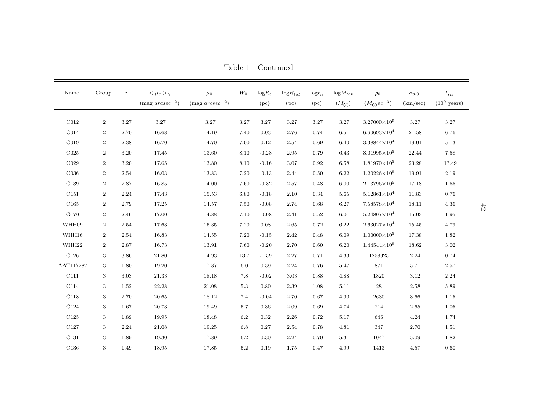| $\rm Name$       | Group            | $\mathbf{c}$ | $<\mu_v>_{h}$<br>$(mag arcsec^{-2})$ | $\mu_0$<br>(mag $\arccsc^{-2}$ ) | $W_0$   | $log R_c$<br>(pc) | $logR_{tid}$<br>(pc) | $log r_h$<br>(pc) | $logM_{tot}$<br>$(M_{\bigodot})$ | $\rho_0$<br>$(M_{\bigodot}pc^{-3})$ | $\sigma_{p,0}$<br>(km/sec) | $t_{rh}$<br>$(10^9 \text{ years})$ |
|------------------|------------------|--------------|--------------------------------------|----------------------------------|---------|-------------------|----------------------|-------------------|----------------------------------|-------------------------------------|----------------------------|------------------------------------|
| C <sub>012</sub> | $\overline{2}$   | 3.27         | 3.27                                 | 3.27                             | 3.27    | 3.27              | 3.27                 | 3.27              | 3.27                             | $3.27000\times10^{0}$               | $3.27\,$                   | 3.27                               |
| CO14             | $\overline{2}$   | 2.70         | 16.68                                | 14.19                            | 7.40    | 0.03              | 2.76                 | 0.74              | 6.51                             | $6.60693\times10^{4}$               | 21.58                      | 6.76                               |
| CO19             | $\overline{2}$   | 2.38         | 16.70                                | 14.70                            | 7.00    | 0.12              | 2.54                 | 0.69              | 6.40                             | $3.38844\times10^{4}$               | 19.01                      | 5.13                               |
| ${\rm C}025$     | $\overline{2}$   | 3.20         | 17.45                                | 13.60                            | 8.10    | $-0.28$           | 2.95                 | 0.79              | 6.43                             | $3.01995\times10^{5}$               | 22.44                      | 7.58                               |
| C029             | $\overline{2}$   | 3.20         | 17.65                                | 13.80                            | 8.10    | $-0.16$           | 3.07                 | 0.92              | 6.58                             | $1.81970\times10^{5}$               | 23.28                      | 13.49                              |
| C036             | $\overline{2}$   | 2.54         | 16.03                                | 13.83                            | 7.20    | $-0.13$           | 2.44                 | 0.50              | 6.22                             | $1.20226\times10^{5}$               | 19.91                      | 2.19                               |
| $\rm C139$       | $\boldsymbol{2}$ | 2.87         | 16.85                                | 14.00                            | 7.60    | $-0.32$           | 2.57                 | 0.48              | 6.00                             | $2.13796\times10^{5}$               | 17.18                      | 1.66                               |
| ${\rm C}151$     | $\overline{2}$   | 2.24         | 17.43                                | 15.53                            | 6.80    | $-0.18$           | 2.10                 | 0.34              | 5.65                             | $5.12861\times10^{4}$               | 11.83                      | 0.76                               |
| ${\rm C}165$     | $\,2$            | 2.79         | 17.25                                | 14.57                            | 7.50    | $-0.08$           | 2.74                 | 0.68              | 6.27                             | $7.58578\times10^{4}$               | 18.11                      | 4.36                               |
| G170             | $\overline{2}$   | 2.46         | 17.00                                | 14.88                            | 7.10    | $-0.08$           | 2.41                 | 0.52              | 6.01                             | $5.24807\times10^{4}$               | 15.03                      | 1.95                               |
| WHH09            | $\overline{2}$   | 2.54         | 17.63                                | 15.35                            | 7.20    | 0.08              | 2.65                 | 0.72              | 6.22                             | $2.63027\times10^{4}$               | 15.45                      | 4.79                               |
| WHH16            | $\overline{2}$   | 2.54         | 16.83                                | 14.55                            | 7.20    | $-0.15$           | 2.42                 | 0.48              | 6.09                             | $1.00000\times10^{5}$               | 17.38                      | 1.82                               |
| WHH22            | $\overline{2}$   | 2.87         | 16.73                                | 13.91                            | 7.60    | $-0.20$           | 2.70                 | 0.60              | 6.20                             | $1.44544\times10^{5}$               | 18.62                      | 3.02                               |
| C126             | 3                | 3.86         | 21.80                                | 14.93                            | 13.7    | $-1.59$           | 2.27                 | 0.71              | 4.33                             | 1258925                             | 2.24                       | 0.74                               |
| AAT117287        | 3                | 1.80         | 19.20                                | 17.87                            | 6.0     | 0.39              | 2.24                 | 0.76              | 5.47                             | 871                                 | 5.71                       | 2.57                               |
| C111             | 3                | 3.03         | 21.33                                | 18.18                            | 7.8     | $-0.02$           | 3.03                 | 0.88              | 4.88                             | 1820                                | 3.12                       | 2.24                               |
| C114             | 3                | 1.52         | 22.28                                | 21.08                            | $5.3\,$ | 0.80              | 2.39                 | 1.08              | 5.11                             | 28                                  | 2.58                       | 5.89                               |
| C118             | 3                | 2.70         | 20.65                                | 18.12                            | 7.4     | $-0.04$           | 2.70                 | 0.67              | 4.90                             | 2630                                | 3.66                       | 1.15                               |
| C124             | 3                | 1.67         | 20.73                                | 19.49                            | 5.7     | 0.36              | 2.09                 | 0.69              | 4.74                             | 214                                 | 2.65                       | 1.05                               |
| C125             | 3                | 1.89         | 19.95                                | 18.48                            | 6.2     | 0.32              | 2.26                 | 0.72              | 5.17                             | 646                                 | 4.24                       | 1.74                               |
| $\rm C127$       | 3                | 2.24         | 21.08                                | 19.25                            | 6.8     | 0.27              | 2.54                 | 0.78              | 4.81                             | 347                                 | 2.70                       | 1.51                               |
| C131             | 3                | 1.89         | 19.30                                | 17.89                            | 6.2     | 0.30              | 2.24                 | 0.70              | 5.31                             | 1047                                | 5.09                       | 1.82                               |
| C136             | 3                | 1.49         | 18.95                                | 17.85                            | $5.2\,$ | 0.19              | 1.75                 | 0.47              | 4.99                             | 1413                                | 4.57                       | 0.60                               |

Table 1—Continued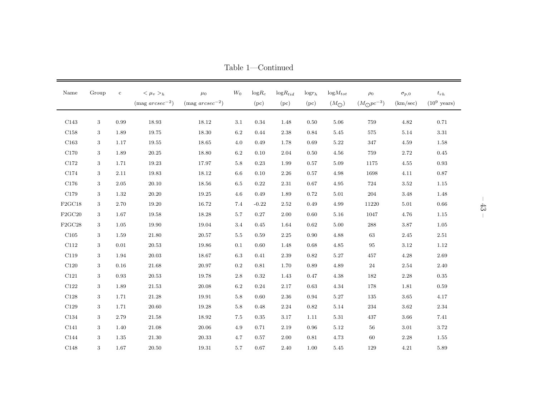| Name             | Group | $\mathbf c$ | $<\mu_v>_{h}$<br>$(mag arcsec^{-2})$ | $\mu_0$<br>(mag $\mathop{arcsec}^{-2}$ ) | $W_0$   | ${\rm log}R_{c}$<br>(pc) | $logR_{tid}$<br>(pc) | $log r_h$<br>(pc) | $logM_{tot}$<br>$(M_{\bigodot})$ | $\rho_0$<br>$(M_{\bigodot}pc^{-3})$ | $\sigma_{p,0}$<br>(km/sec) | $t_{rh}$<br>$(10^9 \text{ years})$ |
|------------------|-------|-------------|--------------------------------------|------------------------------------------|---------|--------------------------|----------------------|-------------------|----------------------------------|-------------------------------------|----------------------------|------------------------------------|
| C143             | 3     | 0.99        | 18.93                                | 18.12                                    | 3.1     | 0.34                     | 1.48                 | 0.50              | 5.06                             | 759                                 | 4.82                       | 0.71                               |
| C158             | 3     | 1.89        | 19.75                                | 18.30                                    | 6.2     | 0.44                     | 2.38                 | 0.84              | 5.45                             | $575\,$                             | 5.14                       | 3.31                               |
| C <sub>163</sub> | 3     | 1.17        | 19.55                                | 18.65                                    | 4.0     | 0.49                     | 1.78                 | 0.69              | 5.22                             | 347                                 | 4.59                       | 1.58                               |
| C170             | 3     | 1.89        | 20.25                                | 18.80                                    | 6.2     | 0.10                     | 2.04                 | 0.50              | 4.56                             | 759                                 | 2.72                       | 0.45                               |
| C172             | 3     | 1.71        | 19.23                                | 17.97                                    | $5.8\,$ | 0.23                     | 1.99                 | 0.57              | 5.09                             | 1175                                | 4.55                       | 0.93                               |
| ${\rm C}174$     | 3     | 2.11        | 19.83                                | 18.12                                    | 6.6     | 0.10                     | 2.26                 | 0.57              | 4.98                             | 1698                                | 4.11                       | 0.87                               |
| C176             | 3     | $2.05\,$    | 20.10                                | 18.56                                    | 6.5     | 0.22                     | 2.31                 | 0.67              | 4.95                             | 724                                 | 3.52                       | 1.15                               |
| $\rm C179$       | 3     | 1.32        | 20.20                                | 19.25                                    | $4.6\,$ | 0.49                     | 1.89                 | 0.72              | 5.01                             | $\,204$                             | 3.48                       | 1.48                               |
| F2GC18           | 3     | 2.70        | 19.20                                | 16.72                                    | 7.4     | $-0.22$                  | 2.52                 | 0.49              | 4.99                             | 11220                               | 5.01                       | 0.66                               |
| F2GC20           | 3     | 1.67        | 19.58                                | 18.28                                    | 5.7     | 0.27                     | 2.00                 | 0.60              | 5.16                             | 1047                                | 4.76                       | 1.15                               |
| F2GC28           | 3     | 1.05        | 19.90                                | 19.04                                    | 3.4     | 0.45                     | 1.64                 | 0.62              | 5.00                             | $\boldsymbol{288}$                  | $3.87\,$                   | 1.05                               |
| ${\rm C}105$     | 3     | 1.59        | 21.80                                | $20.57\,$                                | $5.5\,$ | 0.59                     | $2.25\,$             | 0.90              | 4.88                             | 63                                  | 2.45                       | 2.51                               |
| $\rm C112$       | 3     | 0.01        | 20.53                                | 19.86                                    | 0.1     | 0.60                     | 1.48                 | 0.68              | 4.85                             | 95                                  | 3.12                       | 1.12                               |
| C119             | 3     | 1.94        | $20.03\,$                            | $18.67\,$                                | 6.3     | 0.41                     | $2.39\,$             | 0.82              | 5.27                             | $457\,$                             | 4.28                       | 2.69                               |
| C120             | 3     | 0.16        | 21.68                                | 20.97                                    | $0.2\,$ | 0.81                     | 1.70                 | 0.89              | 4.89                             | 24                                  | 2.54                       | 2.40                               |
| C121             | 3     | 0.93        | 20.53                                | 19.78                                    | 2.8     | 0.32                     | 1.43                 | 0.47              | 4.38                             | 182                                 | 2.28                       | 0.35                               |
| C122             | 3     | 1.89        | 21.53                                | 20.08                                    | 6.2     | 0.24                     | 2.17                 | 0.63              | 4.34                             | 178                                 | 1.81                       | 0.59                               |
| C128             | 3     | 1.71        | 21.28                                | 19.91                                    | 5.8     | 0.60                     | 2.36                 | 0.94              | 5.27                             | 135                                 | 3.65                       | 4.17                               |
| C129             | 3     | 1.71        | 20.60                                | 19.28                                    | 5.8     | 0.48                     | 2.24                 | 0.82              | 5.14                             | 234                                 | 3.62                       | 2.34                               |
| C134             | 3     | 2.79        | 21.58                                | 18.92                                    | 7.5     | 0.35                     | 3.17                 | 1.11              | 5.31                             | 437                                 | 3.66                       | 7.41                               |
| ${\rm C}141$     | 3     | 1.40        | 21.08                                | 20.06                                    | 4.9     | 0.71                     | 2.19                 | 0.96              | 5.12                             | 56                                  | 3.01                       | 3.72                               |
| C144             | 3     | 1.35        | 21.30                                | 20.33                                    | 4.7     | 0.57                     | 2.00                 | 0.81              | 4.73                             | 60                                  | 2.28                       | 1.55                               |
| C148             | 3     | 1.67        | 20.50                                | 19.31                                    | $5.7\,$ | 0.67                     | 2.40                 | 1.00              | 5.45                             | 129                                 | 4.21                       | 5.89                               |

Table 1—Continued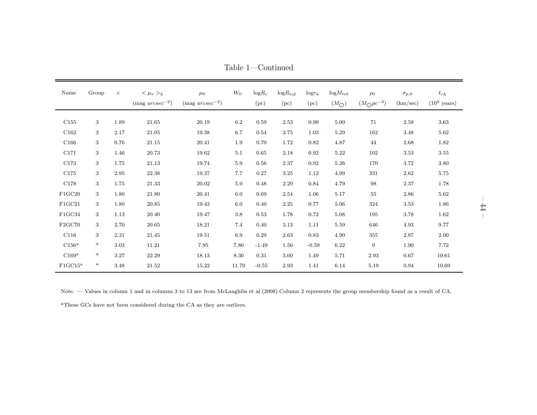| Name                | Group  | $\mathbf{c}$ | $<\mu_v>_{h}$<br>$(mag arcsec^{-2})$ | $\mu_0$<br>$(mag arcsec^{-2})$ | $W_0$   | $\mathrm{log}R_{c}$<br>(pc) | $logR_{tid}$<br>(pc) | $log r_h$<br>(pc) | $logM_{tot}$<br>$(M_{\bigodot})$ | $\rho_0$<br>$(M_{\bigodot}pc^{-3})$ | $\sigma_{p,0}$<br>(km/sec) | $t_{rh}$<br>$(10^9 \text{ years})$ |
|---------------------|--------|--------------|--------------------------------------|--------------------------------|---------|-----------------------------|----------------------|-------------------|----------------------------------|-------------------------------------|----------------------------|------------------------------------|
| ${\rm C}155$        | 3      | 1.89         | $21.65\,$                            | $20.19\,$                      | $6.2\,$ | 0.59                        | 2.53                 | 0.99              | $5.00\,$                         | 71                                  | 2.58                       | 3.63                               |
| ${\rm C}162$        | 3      | 2.17         | 21.05                                | 19.38                          | 6.7     | 0.54                        | 2.75                 | 1.03              | 5.29                             | 162                                 | 3.48                       | 5.62                               |
| C166                | 3      | 0.76         | 21.15                                | 20.41                          | $1.9\,$ | 0.70                        | 1.72                 | 0.82              | 4.87                             | 44                                  | 2.68                       | 1.82                               |
| ${\rm C}171$        | 3      | 1.46         | 20.73                                | 19.62                          | 5.1     | 0.65                        | 2.18                 | 0.92              | 5.22                             | 102                                 | 3.53                       | 3.55                               |
| $\rm C173$          | 3      | 1.75         | 21.13                                | 19.74                          | $5.9\,$ | 0.56                        | 2.37                 | 0.92              | $5.26\,$                         | 170                                 | $3.72\,$                   | 3.80                               |
| C175                | 3      | 2.95         | 22.38                                | 19.37                          | 7.7     | 0.27                        | 3.25                 | 1.12              | 4.99                             | 331                                 | $2.62\,$                   | 5.75                               |
| $\rm C178$          | 3      | 1.75         | $21.33\,$                            | $20.02\,$                      | $5.9\,$ | 0.48                        | 2.29                 | 0.84              | 4.79                             | 98                                  | 2.37                       | 1.78                               |
| ${\rm F1GC20}$      | 3      | 1.80         | 21.80                                | 20.41                          | 6.0     | 0.69                        | 2.54                 | 1.06              | 5.17                             | $55\,$                              | $2.86\,$                   | 5.62                               |
| ${\rm F1GC21}$      | 3      | 1.80         | 20.85                                | 19.43                          | $6.0\,$ | 0.40                        | 2.25                 | 0.77              | 5.06                             | 324                                 | 3.53                       | 1.86                               |
| ${\rm F1GC34}$      | 3      | 1.13         | 20.40                                | 19.47                          | $3.8\,$ | 0.53                        | 1.78                 | 0.72              | $5.08\,$                         | 195                                 | 3.78                       | 1.62                               |
| ${\rm F2GC70}$      | 3      | 2.70         | $20.65\,$                            | 18.21                          | $7.4\,$ | 0.40                        | 3.13                 | 1.11              | 5.59                             | 646                                 | 4.93                       | 9.77                               |
| C116                | 3      | 2.31         | $21.45\,$                            | 19.51                          | 6.9     | 0.29                        | 2.63                 | 0.83              | 4.90                             | $355\,$                             | 2.87                       | 2.00                               |
| $\rm C156^a$        | $\ast$ | 3.03         | 11.21                                | 7.95                           | 7.80    | $-1.49$                     | 1.56                 | $-0.59$           | 6.22                             | 9                                   | 1.90                       | 7.72                               |
| C169a               | $\ast$ | 3.27         | 22.29                                | 18.13                          | 8.30    | 0.31                        | 3.60                 | 1.49              | $5.71\,$                         | 2.93                                | 0.67                       | 10.61                              |
| FIGC15 <sup>a</sup> | $\ast$ | 3.48         | 21.52                                | 15.22                          | 11.70   | $-0.55$                     | 2.93                 | 1.41              | 6.14                             | 5.19                                | 0.94                       | 10.69                              |

Table 1—Continued

Note. — Values in column <sup>1</sup> and in columns <sup>3</sup> to <sup>13</sup> are from McLaughlin et al.(2008).Column <sup>2</sup> represents the group membership found as <sup>a</sup> result of CA.

<sup>a</sup>These GCs have not been considered during the CA as they are outliers.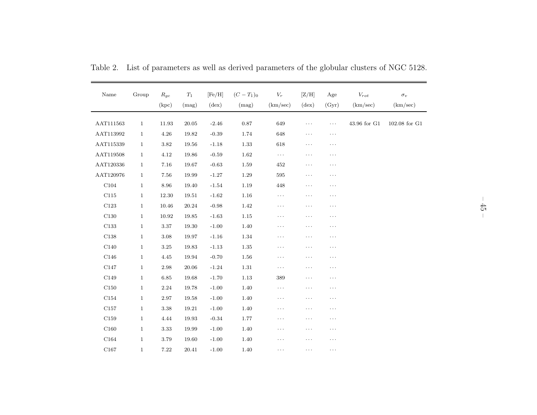| Name         | Group        | $R_{gc}$<br>(kpc) | $\mathcal{T}_1$<br>(mag) | [Fe/H]<br>$(\text{dex})$ | $(C-T_1)_0$<br>(mag) | ${\cal V}_r$<br>(km/sec) | [Z/H]<br>$(\text{dex})$ | Age<br>(Gyr) | $V_{rot}$<br>(km/sec) | $\sigma_v$<br>(km/sec)           |
|--------------|--------------|-------------------|--------------------------|--------------------------|----------------------|--------------------------|-------------------------|--------------|-----------------------|----------------------------------|
| AAT111563    | $\mathbf{1}$ | 11.93             | 20.05                    | $-2.46$                  | 0.87                 | 649                      | $\cdots$                | $\cdots$     | 43.96 for G1          | $102.08$ for $\operatorname{G1}$ |
| AAT113992    | $\mathbf{1}$ | 4.26              | 19.82                    | $-0.39$                  | 1.74                 | 648                      | $\cdots$                | $\cdots$     |                       |                                  |
| AAT115339    | $\mathbf{1}$ | 3.82              | 19.56                    | $-1.18$                  | 1.33                 | 618                      | $\cdots$                | $\cdots$     |                       |                                  |
| AAT119508    | $\mathbf{1}$ | 4.12              | 19.86                    | $-0.59$                  | 1.62                 | $\ldots$                 | $\cdots$                | $\cdots$     |                       |                                  |
| AAT120336    | $\mathbf{1}$ | 7.16              | 19.67                    | $-0.63$                  | 1.59                 | 452                      | $\cdots$                | $\cdots$     |                       |                                  |
| AAT120976    | $\mathbf{1}$ | 7.56              | 19.99                    | $-1.27$                  | 1.29                 | 595                      | $\cdots$                | $\cdots$     |                       |                                  |
| ${\rm C}104$ | $\mathbf{1}$ | 8.96              | 19.40                    | $-1.54$                  | $1.19\,$             | 448                      | $\cdots$                | $\cdots$     |                       |                                  |
| C115         | $\mathbf{1}$ | 12.30             | 19.51                    | $-1.62$                  | 1.16                 | $\cdots$                 | $\cdots$                | $\cdots$     |                       |                                  |
| C123         | $\mathbf{1}$ | 10.46             | 20.24                    | $-0.98$                  | 1.42                 | $\cdots$                 | $\cdots$                | $\cdots$     |                       |                                  |
| C130         | $\mathbf{1}$ | 10.92             | 19.85                    | $-1.63$                  | 1.15                 | $\cdots$                 | $\cdots$                | $\cdots$     |                       |                                  |
| C133         | $\mathbf{1}$ | $3.37\,$          | 19.30                    | $-1.00$                  | 1.40                 | $\cdots$                 | $\cdots$                | $\cdots$     |                       |                                  |
| $\rm C138$   | $\mathbf{1}$ | 3.08              | 19.97                    | $-1.16$                  | 1.34                 | $\cdots$                 | $\cdots$                | $\cdots$     |                       |                                  |
| ${\rm C}140$ | $\mathbf{1}$ | 3.25              | 19.83                    | $-1.13$                  | 1.35                 | $\cdots$                 | .                       | $\cdots$     |                       |                                  |
| ${\rm C}146$ | $\mathbf{1}$ | 4.45              | 19.94                    | $-0.70$                  | 1.56                 | $\cdots$                 | $\cdots$                | $\cdots$     |                       |                                  |
| C147         | $\mathbf{1}$ | 2.98              | 20.06                    | $-1.24$                  | 1.31                 | $\cdots$                 | $\cdots$                | $\cdots$     |                       |                                  |
| ${\rm C}149$ | $\mathbf{1}$ | 6.85              | 19.68                    | $-1.70$                  | 1.13                 | 389                      | $\cdots$                | $\cdots$     |                       |                                  |
| ${\rm C}150$ | $\mathbf{1}$ | 2.24              | 19.78                    | $-1.00$                  | 1.40                 | $\cdots$                 | $\cdots$                | $\cdots$     |                       |                                  |
| C154         | $\mathbf{1}$ | 2.97              | 19.58                    | $-1.00$                  | 1.40                 | $\cdots$                 | $\cdots$                | $\cdots$     |                       |                                  |
| C157         | $\mathbf{1}$ | 3.38              | 19.21                    | $-1.00$                  | 1.40                 | $\cdots$                 | $\cdots$                | $\cdots$     |                       |                                  |
| C159         | $\mathbf{1}$ | 4.44              | 19.93                    | $-0.34$                  | 1.77                 | $\cdots$                 | $\cdots$                | $\cdots$     |                       |                                  |
| ${\rm C}160$ | $\mathbf{1}$ | 3.33              | 19.99                    | $-1.00$                  | 1.40                 | $\cdots$                 | $\cdots$                | $\cdots$     |                       |                                  |
| ${\rm C}164$ | $\mathbf{1}$ | 3.79              | 19.60                    | $-1.00$                  | 1.40                 | $\cdots$                 | $\cdots$                | $\cdots$     |                       |                                  |
| C167         | $\mathbf{1}$ | 7.22              | 20.41                    | $-1.00$                  | 1.40                 | .                        | .                       | $\cdots$     |                       |                                  |

Table 2. List of parameters as well as derived parameters of the <sup>g</sup>lobular clusters of NGC 5128.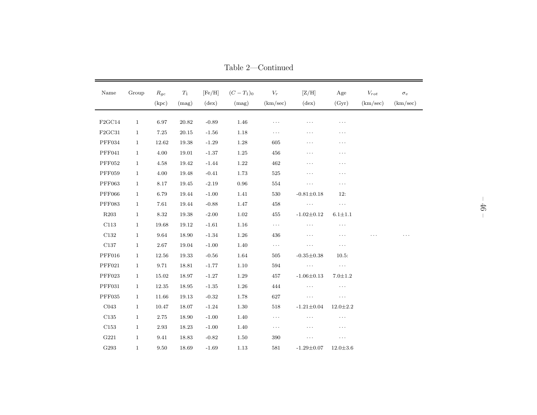| Name             | Group        | $R_{gc}$<br>(kpc) | $T_1$<br>(mag) | [Fe/H]<br>$(\text{dex})$ | $(C-T_1)_0$<br>(mag) | ${\cal V}_r$<br>(km/sec) | [Z/H]<br>$(\text{dex})$ | Age<br>(Gyr)   | $\mathcal{V}_{rot}$<br>(km/sec) | $\sigma_v$<br>(km/sec) |
|------------------|--------------|-------------------|----------------|--------------------------|----------------------|--------------------------|-------------------------|----------------|---------------------------------|------------------------|
|                  |              |                   |                |                          |                      |                          |                         |                |                                 |                        |
| F2GC14           | $\mathbf{1}$ | 6.97              | 20.82          | $-0.89$                  | 1.46                 | $\cdots$                 | $\cdots$                | $\cdots$       |                                 |                        |
| F2GC31           | $\mathbf{1}$ | 7.25              | 20.15          | $-1.56$                  | 1.18                 | $\cdots$                 | $\cdots$                | $\cdots$       |                                 |                        |
| PFF034           | $\mathbf{1}$ | 12.62             | 19.38          | $-1.29$                  | 1.28                 | 605                      | $\cdots$                | .              |                                 |                        |
| PFF041           | $\mathbf{1}$ | 4.00              | 19.01          | $-1.37$                  | $1.25\,$             | 456                      | $\cdots$                | .              |                                 |                        |
| <b>PFF052</b>    | $\mathbf{1}$ | 4.58              | 19.42          | $-1.44$                  | 1.22                 | 462                      | $\cdots$                | $\cdots$       |                                 |                        |
| <b>PFF059</b>    | $\mathbf{1}$ | 4.00              | 19.48          | $-0.41$                  | 1.73                 | $525\,$                  | $\ldots$                | $\cdots$       |                                 |                        |
| <b>PFF063</b>    | $\mathbf{1}$ | $8.17\,$          | 19.45          | $-2.19$                  | $\rm 0.96$           | 554                      | $\cdots$                | $\cdots$       |                                 |                        |
| <b>PFF066</b>    | $\mathbf{1}$ | 6.79              | 19.44          | $-1.00$                  | 1.41                 | 530                      | $-0.81 \pm 0.18$        | 12:            |                                 |                        |
| <b>PFF083</b>    | $\mathbf{1}$ | 7.61              | 19.44          | $-0.88$                  | 1.47                 | 458                      | $\cdots$                | $\ldots$       |                                 |                        |
| R <sub>203</sub> | $\mathbf{1}$ | 8.32              | 19.38          | $-2.00$                  | 1.02                 | 455                      | $-1.02 \pm 0.12$        | $6.1 + 1.1$    |                                 |                        |
| ${\rm C}113$     | $\mathbf{1}$ | 19.68             | $19.12\,$      | $-1.61$                  | 1.16                 | $\ldots$                 | $\cdots$                | $\cdots$       |                                 |                        |
| C132             | $\mathbf{1}$ | 9.64              | 18.90          | $-1.34$                  | 1.26                 | 436                      | $\cdots$                | .              |                                 |                        |
| $\rm C137$       | $\mathbf{1}$ | $2.67\,$          | 19.04          | $-1.00$                  | 1.40                 | $\ldots$                 | $\ldots$                | $\cdots$       |                                 |                        |
| PFF016           | $\mathbf{1}$ | 12.56             | 19.33          | $-0.56$                  | 1.64                 | $505\,$                  | $-0.35 \pm 0.38$        | 10.5:          |                                 |                        |
| PFF021           | $\mathbf{1}$ | 9.71              | 18.81          | $-1.77$                  | 1.10                 | 594                      | $\ldots$                | $\ldots$       |                                 |                        |
| PFF023           | $\mathbf{1}$ | 15.02             | 18.97          | $-1.27$                  | $1.29\,$             | $457\,$                  | $-1.06 \pm 0.13$        | $7.0 + 1.2$    |                                 |                        |
| <b>PFF031</b>    | $\mathbf{1}$ | 12.35             | 18.95          | $-1.35$                  | 1.26                 | 444                      | $\ldots$                | $\ldots$       |                                 |                        |
| <b>PFF035</b>    | $\mathbf{1}$ | 11.66             | 19.13          | $-0.32$                  | 1.78                 | 627                      | $\cdots$                | $\cdots$       |                                 |                        |
| CO43             | $\mathbf{1}$ | 10.47             | 18.07          | $-1.24$                  | 1.30                 | $518\,$                  | $-1.21 \pm 0.04$        | $12.0 \pm 2.2$ |                                 |                        |
| C135             | $\mathbf{1}$ | 2.75              | 18.90          | $-1.00$                  | 1.40                 | $\ldots$                 | $\cdots$                | .              |                                 |                        |
| C153             | $\mathbf{1}$ | $2.93\,$          | 18.23          | $-1.00$                  | 1.40                 | $\ldots$                 | .                       | .              |                                 |                        |
| ${\rm G}221$     | $\mathbf{1}$ | 9.41              | 18.83          | $-0.82$                  | 1.50                 | 390                      | $\cdots$                | $\cdots$       |                                 |                        |
| G293             | $\mathbf{1}$ | 9.50              | 18.69          | $-1.69$                  | 1.13                 | 581                      | $-1.29 \pm 0.07$        | $12.0 \pm 3.6$ |                                 |                        |

Table 2—Continued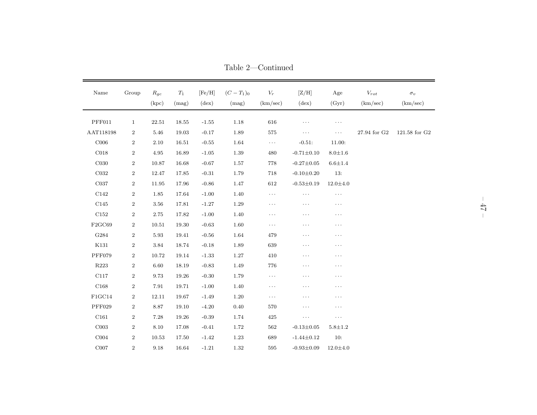| Name             | Group            | $R_{gc}$<br>(kpc) | $\mathcal{T}_1$<br>(mag) | [Fe/H]<br>$(\text{dex})$ | $(C-T_1)_0$<br>(mag) | ${\cal V}_r$<br>(km/sec) | [Z/H]<br>$(\text{dex})$ | $\rm Age$<br>(Gyr) | $\mathcal{V}_{rot}$<br>(km/sec) | $\sigma_v$<br>(km/sec)           |
|------------------|------------------|-------------------|--------------------------|--------------------------|----------------------|--------------------------|-------------------------|--------------------|---------------------------------|----------------------------------|
|                  |                  |                   |                          |                          |                      |                          |                         |                    |                                 |                                  |
| PFF011           | $\mathbf{1}$     | 22.51             | 18.55                    | $-1.55$                  | $1.18\,$             | 616                      | $\cdots$                | $\cdots$           |                                 |                                  |
| AAT118198        | $\,2$            | 5.46              | 19.03                    | $-0.17$                  | 1.89                 | $575\,$                  | $\cdots$                | $\cdots$           | 27.94 for G2                    | $121.58$ for $\operatorname{G2}$ |
| ${\rm C}006$     | $\overline{2}$   | 2.10              | 16.51                    | $-0.55$                  | 1.64                 | $\ldots$                 | $-0.51:$                | 11.00:             |                                 |                                  |
| $\rm C018$       | $\,2$            | 4.95              | 16.89                    | $-1.05$                  | $1.39\,$             | 480                      | $-0.71 \pm 0.10$        | $8.0 + 1.6$        |                                 |                                  |
| C <sub>030</sub> | $\,2$            | 10.87             | 16.68                    | $-0.67$                  | 1.57                 | 778                      | $-0.27 \pm 0.05$        | $6.6 + 1.4$        |                                 |                                  |
| ${\rm C}032$     | $\boldsymbol{2}$ | 12.47             | 17.85                    | $-0.31$                  | 1.79                 | 718                      | $-0.10 \pm 0.20$        | 13:                |                                 |                                  |
| C037             | $\overline{2}$   | 11.95             | 17.96                    | $-0.86$                  | 1.47                 | 612                      | $-0.53 \pm 0.19$        | $12.0 \pm 4.0$     |                                 |                                  |
| C142             | $\,2$            | 1.85              | 17.64                    | $-1.00$                  | $1.40\,$             | $\cdots$                 | $\ldots$                | $\cdots$           |                                 |                                  |
| C145             | $\boldsymbol{2}$ | 3.56              | 17.81                    | $-1.27$                  | $1.29\,$             | $\cdots$                 | $\cdots$                | $\cdots$           |                                 |                                  |
| $\rm C152$       | $\,2$            | 2.75              | 17.82                    | $-1.00$                  | $1.40\,$             | .                        | $\cdots$                | $\cdots$           |                                 |                                  |
| F2GC69           | $\boldsymbol{2}$ | 10.51             | 19.30                    | $-0.63$                  | 1.60                 | $\cdots$                 | $\cdots$                | .                  |                                 |                                  |
| ${\rm G}284$     | $\boldsymbol{2}$ | 5.93              | 19.41                    | $-0.56$                  | 1.64                 | 479                      | $\cdots$                | $\cdots$           |                                 |                                  |
| $\rm K131$       | $\overline{2}$   | 3.84              | 18.74                    | $-0.18$                  | 1.89                 | 639                      | $\cdots$                | $\cdots$           |                                 |                                  |
| <b>PFF079</b>    | $\,2$            | 10.72             | 19.14                    | $-1.33$                  | 1.27                 | 410                      | $\cdots$                | $\cdots$           |                                 |                                  |
| R223             | $\overline{2}$   | 6.60              | 18.19                    | $-0.83$                  | 1.49                 | 776                      | $\cdots$                | .                  |                                 |                                  |
| $\rm C117$       | $\boldsymbol{2}$ | 9.73              | 19.26                    | $-0.30$                  | 1.79                 | $\cdots$                 | $\cdots$                | $\cdots$           |                                 |                                  |
| C168             | $\overline{2}$   | 7.91              | 19.71                    | $-1.00$                  | 1.40                 | $\cdots$                 | $\cdots$                | $\cdots$           |                                 |                                  |
| FIGC14           | $\boldsymbol{2}$ | 12.11             | 19.67                    | $-1.49$                  | 1.20                 | $\cdots$                 | $\cdots$                | $\cdots$           |                                 |                                  |
| PFF029           | $\,2$            | 8.87              | 19.10                    | $-4.20$                  | $0.40\,$             | 570                      | $\cdots$                | $\cdots$           |                                 |                                  |
| C161             | $\overline{2}$   | 7.28              | 19.26                    | $-0.39$                  | 1.74                 | 425                      | $\ldots$                | $\cdots$           |                                 |                                  |
| ${\rm C}003$     | $\,2$            | 8.10              | 17.08                    | $-0.41$                  | $1.72\,$             | $562\,$                  | $-0.13 \pm 0.05$        | $5.8 + 1.2$        |                                 |                                  |
| COO4             | $\boldsymbol{2}$ | 10.53             | 17.50                    | $-1.42$                  | 1.23                 | 689                      | $-1.44 \pm 0.12$        | 10:                |                                 |                                  |
| ${\rm C}007$     | $\overline{2}$   | 9.18              | 16.64                    | $-1.21$                  | 1.32                 | 595                      | $-0.93 \pm 0.09$        | $12.0 \pm 4.0$     |                                 |                                  |

Table 2—Continued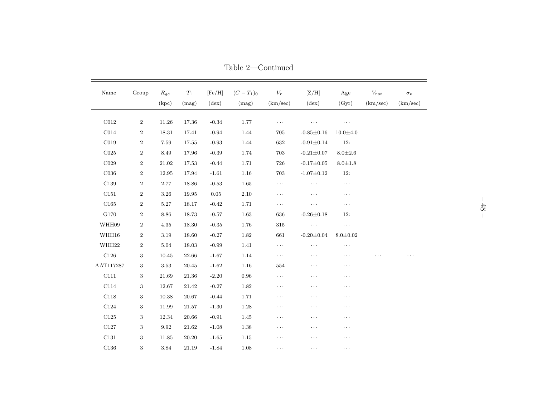| Name                       | Group            | $R_{gc}$<br>(kpc) | $T_1$<br>(mag) | [Fe/H]<br>$(\text{dex})$ | $(C-T_1)_0$<br>(mag) | $V_r$<br>(km/sec) | [Z/H]<br>$(\text{dex})$ | Age<br>(Gyr)   | $\mathcal{V}_{rot}$<br>(km/sec) | $\sigma_v$<br>(km/sec) |
|----------------------------|------------------|-------------------|----------------|--------------------------|----------------------|-------------------|-------------------------|----------------|---------------------------------|------------------------|
| $\rm C012$                 | $\boldsymbol{2}$ | 11.26             | 17.36          | $-0.34$                  | 1.77                 | $\cdots$          | $\cdots$                | $\cdots$       |                                 |                        |
| CO14                       | $\overline{2}$   | 18.31             | 17.41          | $-0.94$                  | 1.44                 | 705               | $-0.85 \pm 0.16$        | $10.0 + 4.0$   |                                 |                        |
| $\rm C019$                 | $\boldsymbol{2}$ | $7.59\,$          | 17.55          | $-0.93$                  | 1.44                 | 632               | $-0.91 \pm 0.14$        | 12:            |                                 |                        |
| CO <sub>25</sub>           | $\boldsymbol{2}$ | 8.49              | 17.96          | $-0.39$                  | 1.74                 | 703               | $-0.21 \pm 0.07$        | $8.0 \pm 2.6$  |                                 |                        |
| C029                       | $\overline{2}$   | 21.02             | 17.53          | $-0.44$                  | 1.71                 | 726               | $-0.17 \pm 0.05$        | $8.0 \pm 1.8$  |                                 |                        |
| C <sub>036</sub>           | $\boldsymbol{2}$ | 12.95             | 17.94          | $-1.61$                  | 1.16                 | 703               | $-1.07 \pm 0.12$        | 12:            |                                 |                        |
| C139                       | $\boldsymbol{2}$ | 2.77              | 18.86          | $-0.53$                  | 1.65                 | $\cdots$          | $\cdots$                | $\cdots$       |                                 |                        |
| C151                       | $\overline{2}$   | 3.26              | 19.95          | 0.05                     | 2.10                 | $\ldots$          | $\cdots$                | $\cdots$       |                                 |                        |
| ${\rm C}165$               | $\boldsymbol{2}$ | 5.27              | 18.17          | $-0.42$                  | 1.71                 | $\ldots$          | $\cdots$                | $\cdots$       |                                 |                        |
| G170                       | $\boldsymbol{2}$ | 8.86              | 18.73          | $-0.57$                  | 1.63                 | 636               | $-0.26 \pm 0.18$        | 12:            |                                 |                        |
| WHH09                      | $\boldsymbol{2}$ | 4.35              | 18.30          | $-0.35$                  | 1.76                 | 315               | $\ldots$ .              | $\ldots$       |                                 |                        |
| WHH16                      | $\boldsymbol{2}$ | 3.19              | 18.60          | $-0.27$                  | 1.82                 | 661               | $-0.20 \pm 0.04$        | $8.0 \pm 0.02$ |                                 |                        |
| WHH22                      | $\overline{2}$   | 5.04              | 18.03          | $-0.99$                  | 1.41                 | $\cdots$          | $\cdots$                | $\cdots$       |                                 |                        |
| ${\rm C}126$               | 3                | 10.45             | 22.66          | $-1.67$                  | 1.14                 | $\cdots$          | $\cdots$                | .              |                                 |                        |
| $\operatorname{AAT117287}$ | $\,3$            | 3.53              | 20.45          | $-1.62$                  | 1.16                 | 554               | $\cdots$                | $\cdots$       |                                 |                        |
| C111                       | 3                | 21.69             | 21.36          | $-2.20$                  | 0.96                 | $\ldots$          | $\cdots$                | $\cdots$       |                                 |                        |
| C114                       | 3                | 12.67             | 21.42          | $-0.27$                  | 1.82                 | $\cdots$          | $\cdots$                | $\cdots$       |                                 |                        |
| C118                       | 3                | 10.38             | 20.67          | $-0.44$                  | 1.71                 | $\cdots$          | $\cdots$                | $\cdots$       |                                 |                        |
| ${\rm C}124$               | 3                | 11.99             | 21.57          | $-1.30$                  | 1.28                 | $\cdots$          | $\cdots$                | $\cdots$       |                                 |                        |
| $\rm C125$                 | 3                | 12.34             | 20.66          | $-0.91$                  | 1.45                 | $\cdots$          | $\cdots$                | $\cdots$       |                                 |                        |
| C127                       | 3                | 9.92              | 21.62          | $-1.08$                  | 1.38                 | $\cdots$          | $\cdots$                | $\cdots$       |                                 |                        |
| ${\rm C}131$               | 3                | 11.85             | 20.20          | $-1.65$                  | 1.15                 | $\cdots$          | $\cdots$                | .              |                                 |                        |
| C136                       | 3                | $3.84\,$          | 21.19          | $-1.84$                  | 1.08                 | $\cdots$          | .                       | $\cdots$       |                                 |                        |

Table 2—Continued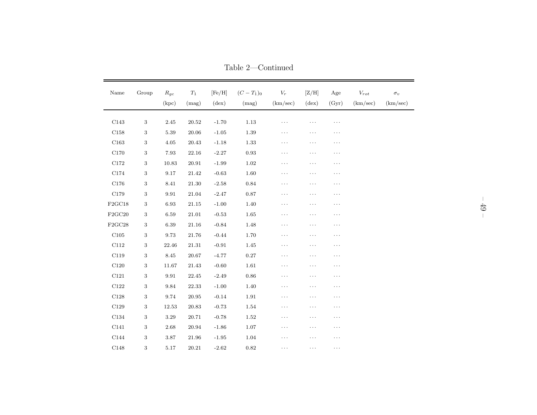| Name           | Group      | $R_{gc}$<br>(kpc) | $\mathcal{T}_1$<br>(mag) | [Fe/H]<br>$(\text{dex})$ | $(C-T_1)_0$<br>(mag) | ${\cal V}_r$<br>(km/sec) | [Z/H]<br>$(\text{dex})$ | $\rm Age$<br>(Gyr) | $\mathcal{V}_{rot}$<br>(km/sec) | $\sigma_v$<br>(km/sec) |
|----------------|------------|-------------------|--------------------------|--------------------------|----------------------|--------------------------|-------------------------|--------------------|---------------------------------|------------------------|
| C143           | $\sqrt{3}$ | $2.45\,$          | $20.52\,$                | $-1.70$                  | $1.13\,$             | .                        | .                       | $\cdots$           |                                 |                        |
| C158           | $\sqrt{3}$ | 5.39              | 20.06                    | $-1.05$                  | 1.39                 | .                        | .                       | $\cdots$           |                                 |                        |
| C163           | $\,3$      | $4.05\,$          | $20.43\,$                | $-1.18$                  | 1.33                 | $\cdots$                 | .                       | $\cdots$           |                                 |                        |
| C170           | $\sqrt{3}$ | 7.93              | 22.16                    | $-2.27$                  | 0.93                 | $\cdots$                 | $\cdots$                | .                  |                                 |                        |
| C172           | $\sqrt{3}$ | 10.83             | 20.91                    | $-1.99$                  | 1.02                 | .                        | .                       | $\cdots$           |                                 |                        |
| C174           | $\sqrt{3}$ | 9.17              | 21.42                    | $-0.63$                  | 1.60                 | .                        | .                       | $\cdots$           |                                 |                        |
| C176           | $\sqrt{3}$ | 8.41              | 21.30                    | $-2.58$                  | 0.84                 | $\cdots$                 | .                       | $\cdots$           |                                 |                        |
| C179           | $\sqrt{3}$ | 9.91              | $21.04\,$                | $-2.47$                  | 0.87                 | .                        | .                       | $\cdots$           |                                 |                        |
| $\rm F2GC18$   | $\,3$      | $6.93\,$          | $21.15\,$                | $-1.00$                  | 1.40                 | $\cdots$                 | $\cdots$                | .                  |                                 |                        |
| F2GC20         | $\sqrt{3}$ | 6.59              | 21.01                    | $-0.53$                  | 1.65                 | .                        | .                       | $\cdots$           |                                 |                        |
| ${\rm F2GC28}$ | $\sqrt{3}$ | 6.39              | 21.16                    | $-0.84$                  | 1.48                 | .                        | .                       | .                  |                                 |                        |
| ${\rm C}105$   | $\sqrt{3}$ | 9.73              | 21.76                    | $-0.44$                  | 1.70                 | .                        | .                       | $\cdots$           |                                 |                        |
| $\rm C112$     | 3          | 22.46             | 21.31                    | $-0.91$                  | 1.45                 | $\cdots$                 | .                       | .                  |                                 |                        |
| C119           | $\sqrt{3}$ | 8.45              | 20.67                    | $-4.77$                  | 0.27                 | $\cdots$                 | $\cdots$                | .                  |                                 |                        |
| $\rm C120$     | $\sqrt{3}$ | $11.67\,$         | $21.43\,$                | $-0.60$                  | $1.61\,$             | .                        | .                       | $\cdots$           |                                 |                        |
| C121           | $\sqrt{3}$ | 9.91              | 22.45                    | $-2.49$                  | 0.86                 | $\cdots$                 | $\cdots$                | $\cdots$           |                                 |                        |
| $\rm C122$     | $\sqrt{3}$ | 9.84              | 22.33                    | $-1.00$                  | 1.40                 | .                        | .                       | .                  |                                 |                        |
| $\rm C128$     | $\,3$      | 9.74              | 20.95                    | $-0.14$                  | 1.91                 | .                        | .                       | $\cdots$           |                                 |                        |
| $\rm C129$     | $\sqrt{3}$ | 12.53             | 20.83                    | $-0.73$                  | 1.54                 | .                        | .                       | .                  |                                 |                        |
| ${\rm C}134$   | $\sqrt{3}$ | 3.29              | 20.71                    | $-0.78$                  | 1.52                 | $\cdots$                 | $\cdots$                | .                  |                                 |                        |
| C141           | $\,3$      | 2.68              | 20.94                    | $-1.86$                  | 1.07                 | $\cdots$                 | $\cdots$                | .                  |                                 |                        |
| C144           | $\sqrt{3}$ | 3.87              | 21.96                    | $-1.95$                  | 1.04                 | $\cdots$                 | $\cdots$                | $\cdots$           |                                 |                        |
| ${\rm C}148$   | $\,3$      | $5.17\,$          | $20.21\,$                | $-2.62$                  | $0.82\,$             | .                        | .                       | $\cdots$           |                                 |                        |

Table 2—Continued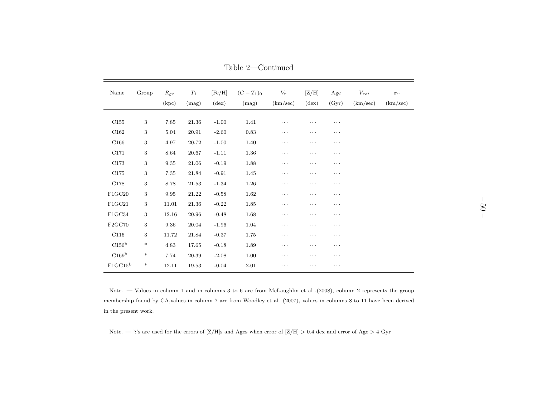| Name                | Group            | $R_{gc}$<br>(kpc) | $T_1$<br>(mag) | [Fe/H]<br>$(\text{dex})$ | $(C-T_1)_0$<br>(mag) | $V_r$<br>(km/sec) | [Z/H]<br>$(\text{dex})$ | Age<br>(Gyr) | $V_{rot}$<br>(km/sec) | $\sigma_v$<br>(km/sec) |
|---------------------|------------------|-------------------|----------------|--------------------------|----------------------|-------------------|-------------------------|--------------|-----------------------|------------------------|
| C155                | $\boldsymbol{3}$ | 7.85              | 21.36          | $-1.00$                  | 1.41                 | $\cdots$          | .                       | .            |                       |                        |
|                     |                  |                   |                |                          |                      |                   |                         |              |                       |                        |
| C162                | $\boldsymbol{3}$ | 5.04              | 20.91          | $-2.60$                  | $\rm 0.83$           | $\cdots$          | .                       | .            |                       |                        |
| C166                | 3                | 4.97              | 20.72          | $-1.00$                  | 1.40                 | $\cdots$          | $\cdots$                | .            |                       |                        |
| C171                | 3                | 8.64              | 20.67          | $-1.11$                  | $1.36\,$             | $\cdots$          | $\cdots$                | .            |                       |                        |
| C173                | $\boldsymbol{3}$ | 9.35              | 21.06          | $-0.19$                  | 1.88                 | $\cdots$          | .                       | .            |                       |                        |
| C175                | 3                | 7.35              | 21.84          | $-0.91$                  | 1.45                 | $\cdots$          | $\cdots$                | .            |                       |                        |
| C178                | $\boldsymbol{3}$ | 8.78              | 21.53          | $-1.34$                  | 1.26                 | $\cdots$          | $\cdots$                | .            |                       |                        |
| F1GC20              | 3                | 9.95              | 21.22          | $-0.58$                  | 1.62                 | $\cdots$          | $\cdots$                | $\cdots$     |                       |                        |
| F1GC21              | 3                | 11.01             | 21.36          | $-0.22$                  | 1.85                 | $\cdots$          | $\cdots$                | .            |                       |                        |
| FIGC34              | $\boldsymbol{3}$ | 12.16             | 20.96          | $-0.48$                  | 1.68                 | $\cdots$          | $\cdots$                | .            |                       |                        |
| F2GC70              | 3                | 9.36              | 20.04          | $-1.96$                  | 1.04                 | $\cdots$          | $\cdots$                | $\cdots$     |                       |                        |
| C116                | 3                | 11.72             | 21.84          | $-0.37$                  | 1.75                 | $\cdots$          | $\cdots$                | .            |                       |                        |
| C156 <sup>b</sup>   | $\ast$           | 4.83              | 17.65          | $-0.18$                  | 1.89                 | $\cdots$          | $\cdots$                | .            |                       |                        |
| C169 <sup>b</sup>   | $\ast$           | 7.74              | 20.39          | $-2.08$                  | 1.00                 | $\cdots$          | $\cdots$                | $\cdots$     |                       |                        |
| FIGC15 <sup>b</sup> | $\ast$           | 12.11             | 19.53          | $-0.04$                  | $2.01\,$             | $\cdots$          | $\cdots$                | .            |                       |                        |

Table 2—Continued

Note. — Values in column <sup>1</sup> and in columns <sup>3</sup> to <sup>6</sup> are from McLaughlin et al .(2008), column <sup>2</sup> represents the groupmembership found by CA,values in column <sup>7</sup> are from Woodley et al. (2007), values in columns <sup>8</sup> to <sup>11</sup> have been derivedin the present work.

Note. — ':'s are used for the errors of [Z/H]s and Ages when error of [Z/H]  $> 0.4$  dex and error of Age  $> 4$  Gyr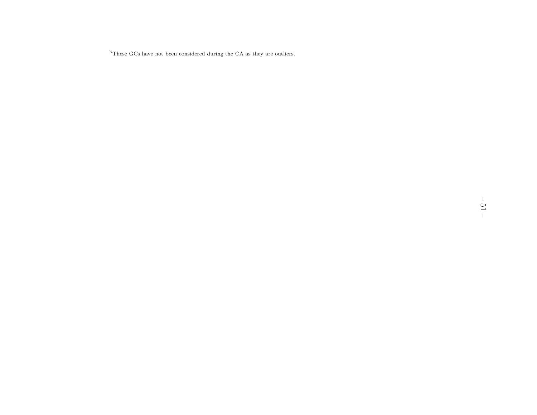<sup>b</sup>These GCs have not been considered during the CA as they are outliers.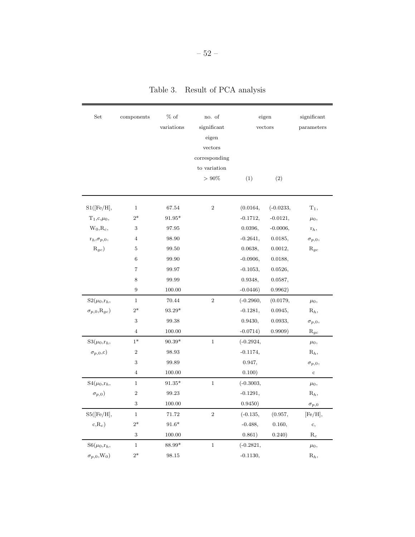| Set                          | components       | $%$ of<br>variations | no. of<br>significant<br>eigen<br>vectors<br>corresponding<br>to variation | eigen<br>vectors |             | significant<br>parameters |
|------------------------------|------------------|----------------------|----------------------------------------------------------------------------|------------------|-------------|---------------------------|
|                              |                  |                      | $> 90\%$                                                                   | (1)              | (2)         |                           |
| S1([Fe/H],                   | $\mathbf{1}$     | 67.54                | $\,2$                                                                      | (0.0164,         | $(-0.0233,$ | $T_1$ ,                   |
| $T_1,c,\mu_0,$               | $2*$             | $91.95*$             |                                                                            | $-0.1712,$       | $-0.0121,$  |                           |
| $W_0, R_c,$                  | $\,3$            | 97.95                |                                                                            | 0.0396,          | $-0.0006,$  | $\mu_0,$<br>$r_h,$        |
| ${\bf r}_h, \sigma_{p,0},$   | $\overline{4}$   | 98.90                |                                                                            | $-0.2641,$       | 0.0185,     | $\sigma_{p,0},$           |
| $R_{gc}$                     | $\bf 5$          | 99.50                |                                                                            | 0.0638,          | 0.0012,     | $R_{gc}$                  |
|                              | $\,6$            | 99.90                |                                                                            | $-0.0906,$       | 0.0188,     |                           |
|                              | $\overline{7}$   | 99.97                |                                                                            | $-0.1053,$       | 0.0526,     |                           |
|                              | 8                | 99.99                |                                                                            | 0.9348,          | 0.0587,     |                           |
|                              | $\boldsymbol{9}$ | 100.00               |                                                                            | $-0.0446)$       | 0.9962)     |                           |
| $S2(\mu_0,r_h,$              | $\mathbf{1}$     | 70.44                | $\overline{2}$                                                             | $(-0.2960,$      | (0.0179,    | $\mu_0$ ,                 |
| $\sigma_{p,0}, R_{gc})$      | $2*$             | $93.29^{\ast}$       |                                                                            | $-0.1281,$       | 0.0945,     | $\mathrm{R}_h,$           |
|                              | 3                | 99.38                |                                                                            | 0.9430,          | 0.0933,     | $\sigma_{p,0},$           |
|                              | $\bf 4$          | 100.00               |                                                                            | $-0.0714)$       | 0.9909)     | $\mathrm{R}_{gc}$         |
| $S3(\mu_0,r_h,$              | $1*$             | $90.39*$             | $\mathbf{1}$                                                               | $(-0.2924,$      |             | $\mu_0,$                  |
| $\sigma_{p,0}$ ,c)           | $\boldsymbol{2}$ | 98.93                |                                                                            | $-0.1174,$       |             | $\mathrm{R}_h,$           |
|                              | 3                | 99.89                |                                                                            | 0.947,           |             | $\sigma_{p,0},$           |
|                              | $\,4\,$          | 100.00               |                                                                            | 0.100)           |             | $\mathbf c$               |
| $S4(\mu_0,r_h,$              | $\mathbf{1}$     | $91.35*$             | $\mathbf{1}$                                                               | $(-0.3003,$      |             | $\mu_0,$                  |
| $\sigma_{p,0})$              | $\boldsymbol{2}$ | 99.23                |                                                                            | $-0.1291,$       |             | $R_h$ ,                   |
|                              | 3                | 100.00               |                                                                            | 0.9450)          |             | $\sigma_{p,0}$            |
| S5([Fe/H],                   | $\mathbf{1}$     | 71.72                | $\,2$                                                                      | $(-0.135,$       | (0.957,     | [Fe/H],                   |
| $c, R_c$ )                   | $2*$             | $91.6*$              |                                                                            | $-0.488,$        | 0.160,      | $\mathbf{c},$             |
|                              | $\,3$            | 100.00               |                                                                            | 0.861)           | 0.240)      | $\rm R_c$                 |
| $S6(\mu_0,r_h,$              | $\mathbf{1}$     | 88.99*               | $\,1$                                                                      | $(-0.2821,$      |             | $\mu_0,$                  |
| $\sigma_{p,0},\mathbf{W}_0)$ | $2*$             | 98.15                |                                                                            | $-0.1130,$       |             | $R_h$                     |

Table 3. Result of PCA analysis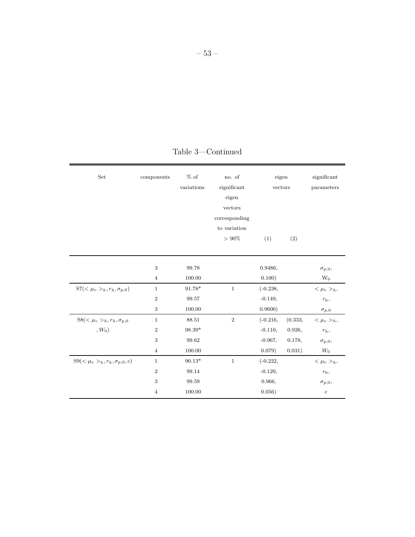| $\operatorname{Set}$                  | components     | $\%$ of        | no. of        | eigen      |         | significant     |
|---------------------------------------|----------------|----------------|---------------|------------|---------|-----------------|
|                                       |                | variations     | significant   | vectors    |         | parameters      |
|                                       |                |                | eigen         |            |         |                 |
|                                       |                |                | vectors       |            |         |                 |
|                                       |                |                | corresponding |            |         |                 |
|                                       |                |                | to variation  |            |         |                 |
|                                       |                |                | $>90\%$       | (1)        | (2)     |                 |
|                                       |                |                |               |            |         |                 |
|                                       | $\sqrt{3}$     | 99.78          |               | 0.9486,    |         | $\sigma_{p,0},$ |
|                                       | $\overline{4}$ | 100.00         |               | 0.100)     |         | $W_0$           |
| $S7(<\mu_v >_h, r_h, \sigma_{p,0})$   | $1\,$          | $91.78*$       | $\,1$         | $(-0.238,$ |         | $<\mu_v>_{h}$ , |
|                                       | $\overline{2}$ | 99.57          |               | $-0.149,$  |         | $r_h,$          |
|                                       | $\sqrt{3}$     | 100.00         |               | 0.9600)    |         | $\sigma_{p,0}$  |
| $S8(\mu_v >_h, r_h, \sigma_{p,0}$     | $\mathbf{1}$   | 88.51          | $\sqrt{2}$    | $(-0.216,$ | (0.333, | $<\mu_v>_{h}$   |
| $, W_0)$                              | $\overline{2}$ | $98.39^{\ast}$ |               | $-0.110,$  | 0.926,  | $r_h,$          |
|                                       | 3              | 99.62          |               | $-0.967,$  | 0.178,  | $\sigma_{p,0},$ |
|                                       | $\overline{4}$ | 100.00         |               | 0.079)     | 0.031)  | $W_0$           |
| $S9(\mu_v >_h, r_h, \sigma_{p,0}, c)$ | $1\,$          | $90.13^{\ast}$ | $\mathbf{1}$  | $(-0.222,$ |         | $<\mu_v>_{h}$   |
|                                       | $\overline{2}$ | 99.14          |               | $-0.120,$  |         | $r_h,$          |
|                                       | 3              | 99.59          |               | 0.966,     |         | $\sigma_{p,0},$ |
|                                       | $\overline{4}$ | 100.00         |               | 0.056)     |         | $\mathbf c$     |

Table 3—Continued